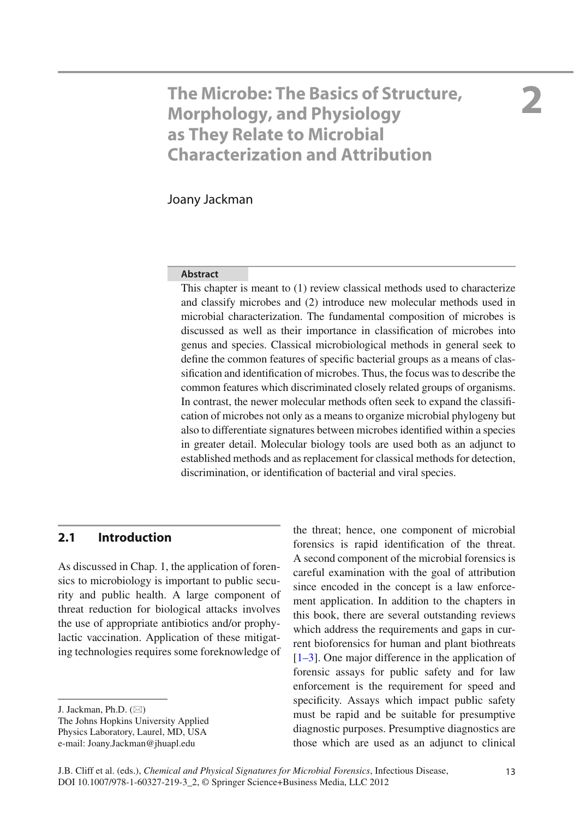# **The Microbe: The Basics of Structure, Morphology, and Physiology as They Relate to Microbial Characterization and Attribution**

 **2**

# Joany Jackman

#### **Abstract**

 This chapter is meant to (1) review classical methods used to characterize and classify microbes and (2) introduce new molecular methods used in microbial characterization. The fundamental composition of microbes is discussed as well as their importance in classification of microbes into genus and species. Classical microbiological methods in general seek to define the common features of specific bacterial groups as a means of classification and identification of microbes. Thus, the focus was to describe the common features which discriminated closely related groups of organisms. In contrast, the newer molecular methods often seek to expand the classification of microbes not only as a means to organize microbial phylogeny but also to differentiate signatures between microbes identified within a species in greater detail. Molecular biology tools are used both as an adjunct to established methods and as replacement for classical methods for detection, discrimination, or identification of bacterial and viral species.

## **2.1 Introduction**

As discussed in Chap. 1, the application of forensics to microbiology is important to public security and public health. A large component of threat reduction for biological attacks involves the use of appropriate antibiotics and/or prophylactic vaccination. Application of these mitigating technologies requires some foreknowledge of

 The Johns Hopkins University Applied Physics Laboratory, Laurel, MD, USA e-mail: Joany.Jackman@jhuapl.edu

the threat; hence, one component of microbial forensics is rapid identification of the threat. A second component of the microbial forensics is careful examination with the goal of attribution since encoded in the concept is a law enforcement application. In addition to the chapters in this book, there are several outstanding reviews which address the requirements and gaps in current bioforensics for human and plant biothreats [ $1-3$ ]. One major difference in the application of forensic assays for public safety and for law enforcement is the requirement for speed and specificity. Assays which impact public safety must be rapid and be suitable for presumptive diagnostic purposes. Presumptive diagnostics are those which are used as an adjunct to clinical

J. Jackman, Ph.D.  $(\boxtimes)$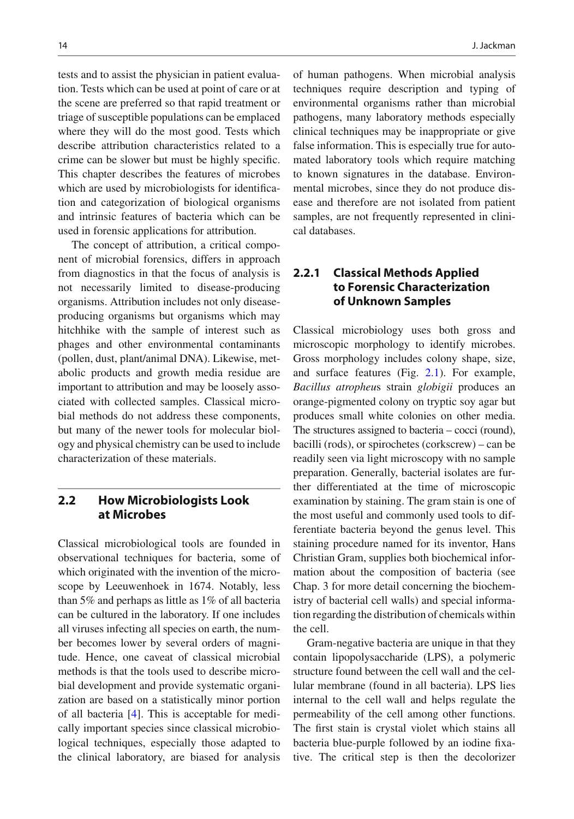tests and to assist the physician in patient evaluation. Tests which can be used at point of care or at the scene are preferred so that rapid treatment or triage of susceptible populations can be emplaced where they will do the most good. Tests which describe attribution characteristics related to a crime can be slower but must be highly specific. This chapter describes the features of microbes which are used by microbiologists for identification and categorization of biological organisms and intrinsic features of bacteria which can be used in forensic applications for attribution.

 The concept of attribution, a critical component of microbial forensics, differs in approach from diagnostics in that the focus of analysis is not necessarily limited to disease-producing organisms. Attribution includes not only diseaseproducing organisms but organisms which may hitchhike with the sample of interest such as phages and other environmental contaminants (pollen, dust, plant/animal DNA). Likewise, metabolic products and growth media residue are important to attribution and may be loosely associated with collected samples. Classical microbial methods do not address these components, but many of the newer tools for molecular biology and physical chemistry can be used to include characterization of these materials.

## **2.2 How Microbiologists Look at Microbes**

 Classical microbiological tools are founded in observational techniques for bacteria, some of which originated with the invention of the microscope by Leeuwenhoek in 1674. Notably, less than 5% and perhaps as little as 1% of all bacteria can be cultured in the laboratory. If one includes all viruses infecting all species on earth, the number becomes lower by several orders of magnitude. Hence, one caveat of classical microbial methods is that the tools used to describe microbial development and provide systematic organization are based on a statistically minor portion of all bacteria  $[4]$ . This is acceptable for medically important species since classical microbiological techniques, especially those adapted to the clinical laboratory, are biased for analysis

of human pathogens. When microbial analysis techniques require description and typing of environmental organisms rather than microbial pathogens, many laboratory methods especially clinical techniques may be inappropriate or give false information. This is especially true for automated laboratory tools which require matching to known signatures in the database. Environmental microbes, since they do not produce disease and therefore are not isolated from patient samples, are not frequently represented in clinical databases.

## **2.2.1 Classical Methods Applied to Forensic Characterization of Unknown Samples**

 Classical microbiology uses both gross and microscopic morphology to identify microbes. Gross morphology includes colony shape, size, and surface features (Fig. 2.1). For example, *Bacillus atropheus* strain *globigii* produces an orange-pigmented colony on tryptic soy agar but produces small white colonies on other media. The structures assigned to bacteria – cocci (round), bacilli (rods), or spirochetes (corkscrew) – can be readily seen via light microscopy with no sample preparation. Generally, bacterial isolates are further differentiated at the time of microscopic examination by staining. The gram stain is one of the most useful and commonly used tools to differentiate bacteria beyond the genus level. This staining procedure named for its inventor, Hans Christian Gram, supplies both biochemical information about the composition of bacteria (see Chap. 3 for more detail concerning the biochemistry of bacterial cell walls) and special information regarding the distribution of chemicals within the cell.

 Gram-negative bacteria are unique in that they contain lipopolysaccharide (LPS), a polymeric structure found between the cell wall and the cellular membrane (found in all bacteria). LPS lies internal to the cell wall and helps regulate the permeability of the cell among other functions. The first stain is crystal violet which stains all bacteria blue-purple followed by an iodine fixative. The critical step is then the decolorizer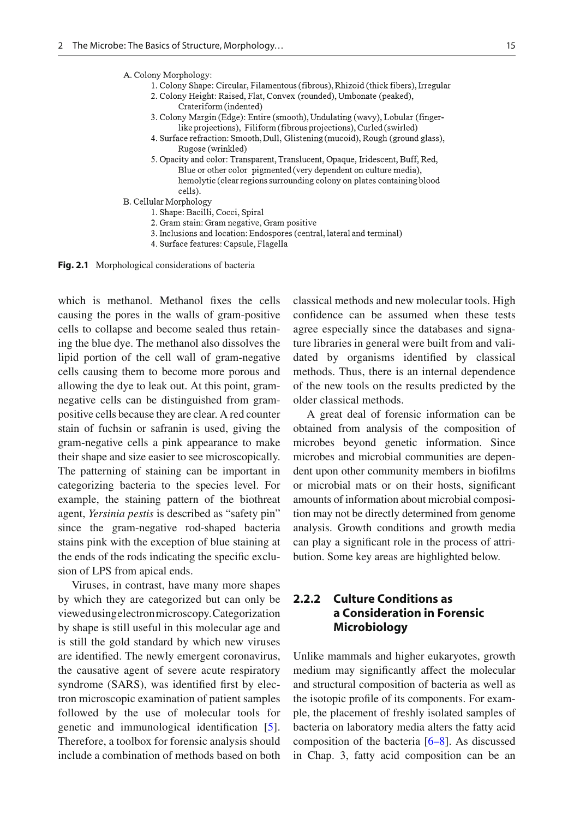<span id="page-2-0"></span>A. Colony Morphology:

- 1. Colony Shape: Circular, Filamentous (fibrous), Rhizoid (thick fibers), Irregular
- 2. Colony Height: Raised, Flat, Convex (rounded), Umbonate (peaked), Crateriform (indented)
- 3. Colony Margin (Edge): Entire (smooth), Undulating (wavy), Lobular (fingerlike projections), Filiform (fibrous projections), Curled (swirled)
- 4. Surface refraction: Smooth, Dull, Glistening (mucoid), Rough (ground glass), Rugose (wrinkled)
- 5. Opacity and color: Transparent, Translucent, Opaque, Iridescent, Buff, Red, Blue or other color pigmented (very dependent on culture media), hemolytic (clear regions surrounding colony on plates containing blood cells).
- B. Cellular Morphology
	- 1. Shape: Bacilli, Cocci, Spiral
	- 2. Gram stain: Gram negative, Gram positive
	- 3. Inclusions and location: Endospores (central, lateral and terminal)
	- 4. Surface features: Capsule, Flagella

 **Fig. 2.1** Morphological considerations of bacteria

which is methanol. Methanol fixes the cells causing the pores in the walls of gram-positive cells to collapse and become sealed thus retaining the blue dye. The methanol also dissolves the lipid portion of the cell wall of gram-negative cells causing them to become more porous and allowing the dye to leak out. At this point, gramnegative cells can be distinguished from grampositive cells because they are clear. A red counter stain of fuchsin or safranin is used, giving the gram-negative cells a pink appearance to make their shape and size easier to see microscopically. The patterning of staining can be important in categorizing bacteria to the species level. For example, the staining pattern of the biothreat agent, *Yersinia pestis* is described as "safety pin" since the gram-negative rod-shaped bacteria stains pink with the exception of blue staining at the ends of the rods indicating the specific exclusion of LPS from apical ends.

 Viruses, in contrast, have many more shapes by which they are categorized but can only be viewed using electron microscopy. Categorization by shape is still useful in this molecular age and is still the gold standard by which new viruses are identified. The newly emergent coronavirus, the causative agent of severe acute respiratory syndrome (SARS), was identified first by electron microscopic examination of patient samples followed by the use of molecular tools for genetic and immunological identification  $[5]$ . Therefore, a toolbox for forensic analysis should include a combination of methods based on both classical methods and new molecular tools. High confidence can be assumed when these tests agree especially since the databases and signature libraries in general were built from and validated by organisms identified by classical methods. Thus, there is an internal dependence of the new tools on the results predicted by the older classical methods.

 A great deal of forensic information can be obtained from analysis of the composition of microbes beyond genetic information. Since microbes and microbial communities are dependent upon other community members in biofilms or microbial mats or on their hosts, significant amounts of information about microbial composition may not be directly determined from genome analysis. Growth conditions and growth media can play a significant role in the process of attribution. Some key areas are highlighted below.

# **2.2.2 Culture Conditions as a Consideration in Forensic Microbiology**

 Unlike mammals and higher eukaryotes, growth medium may significantly affect the molecular and structural composition of bacteria as well as the isotopic profile of its components. For example, the placement of freshly isolated samples of bacteria on laboratory media alters the fatty acid composition of the bacteria  $[6-8]$ . As discussed in Chap. 3, fatty acid composition can be an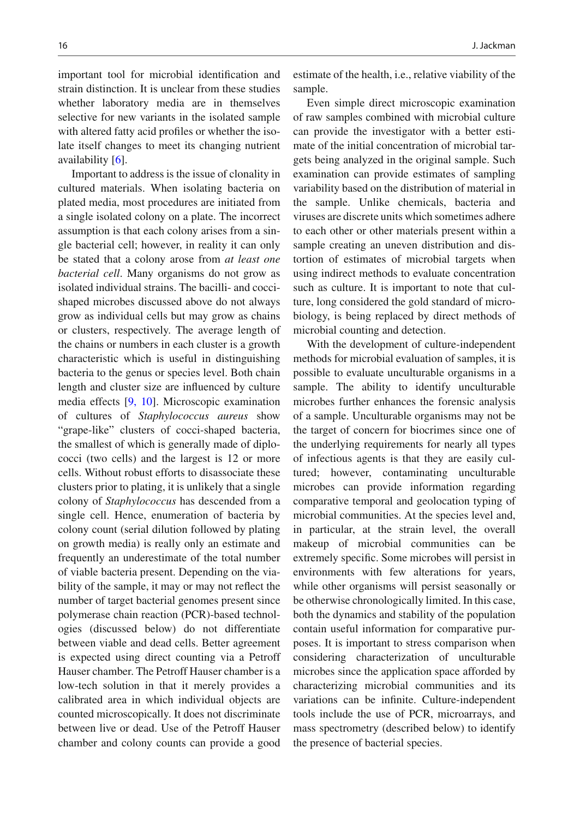important tool for microbial identification and strain distinction. It is unclear from these studies whether laboratory media are in themselves selective for new variants in the isolated sample with altered fatty acid profiles or whether the isolate itself changes to meet its changing nutrient availability  $[6]$ .

 Important to address is the issue of clonality in cultured materials. When isolating bacteria on plated media, most procedures are initiated from a single isolated colony on a plate. The incorrect assumption is that each colony arises from a single bacterial cell; however, in reality it can only be stated that a colony arose from *at least one bacterial cell*. Many organisms do not grow as isolated individual strains. The bacilli- and coccishaped microbes discussed above do not always grow as individual cells but may grow as chains or clusters, respectively. The average length of the chains or numbers in each cluster is a growth characteristic which is useful in distinguishing bacteria to the genus or species level. Both chain length and cluster size are influenced by culture media effects  $[9, 10]$ . Microscopic examination of cultures of *Staphylococcus aureus* show "grape-like" clusters of cocci-shaped bacteria, the smallest of which is generally made of diplococci (two cells) and the largest is 12 or more cells. Without robust efforts to disassociate these clusters prior to plating, it is unlikely that a single colony of *Staphylococcus* has descended from a single cell. Hence, enumeration of bacteria by colony count (serial dilution followed by plating on growth media) is really only an estimate and frequently an underestimate of the total number of viable bacteria present. Depending on the viability of the sample, it may or may not reflect the number of target bacterial genomes present since polymerase chain reaction (PCR)-based technologies (discussed below) do not differentiate between viable and dead cells. Better agreement is expected using direct counting via a Petroff Hauser chamber. The Petroff Hauser chamber is a low-tech solution in that it merely provides a calibrated area in which individual objects are counted microscopically. It does not discriminate between live or dead. Use of the Petroff Hauser chamber and colony counts can provide a good

estimate of the health, i.e., relative viability of the sample.

 Even simple direct microscopic examination of raw samples combined with microbial culture can provide the investigator with a better estimate of the initial concentration of microbial targets being analyzed in the original sample. Such examination can provide estimates of sampling variability based on the distribution of material in the sample. Unlike chemicals, bacteria and viruses are discrete units which sometimes adhere to each other or other materials present within a sample creating an uneven distribution and distortion of estimates of microbial targets when using indirect methods to evaluate concentration such as culture. It is important to note that culture, long considered the gold standard of microbiology, is being replaced by direct methods of microbial counting and detection.

 With the development of culture-independent methods for microbial evaluation of samples, it is possible to evaluate unculturable organisms in a sample. The ability to identify unculturable microbes further enhances the forensic analysis of a sample. Unculturable organisms may not be the target of concern for biocrimes since one of the underlying requirements for nearly all types of infectious agents is that they are easily cultured; however, contaminating unculturable microbes can provide information regarding comparative temporal and geolocation typing of microbial communities. At the species level and, in particular, at the strain level, the overall makeup of microbial communities can be extremely specific. Some microbes will persist in environments with few alterations for years, while other organisms will persist seasonally or be otherwise chronologically limited. In this case, both the dynamics and stability of the population contain useful information for comparative purposes. It is important to stress comparison when considering characterization of unculturable microbes since the application space afforded by characterizing microbial communities and its variations can be infinite. Culture-independent tools include the use of PCR, microarrays, and mass spectrometry (described below) to identify the presence of bacterial species.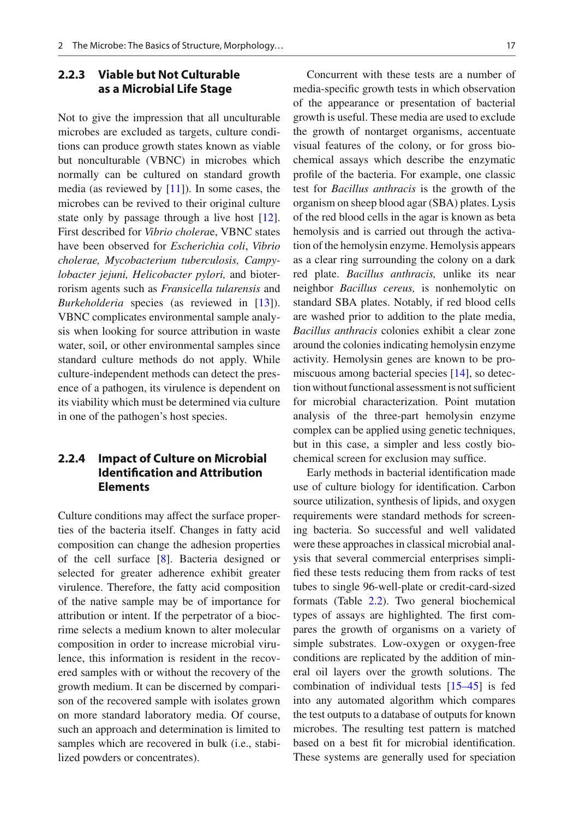## **2.2.3 Viable but Not Culturable as a Microbial Life Stage**

 Not to give the impression that all unculturable microbes are excluded as targets, culture conditions can produce growth states known as viable but nonculturable (VBNC) in microbes which normally can be cultured on standard growth media (as reviewed by  $[11]$ ). In some cases, the microbes can be revived to their original culture state only by passage through a live host  $[12]$ . First described for *Vibrio cholera* e, VBNC states have been observed for *Escherichia coli* , *Vibrio cholerae, Mycobacterium tuberculosis, Campylobacter jejuni, Helicobacter pylori,* and bioterrorism agents such as *Fransicella tularensis* and *Burkeholderia* species (as reviewed in [13]). VBNC complicates environmental sample analysis when looking for source attribution in waste water, soil, or other environmental samples since standard culture methods do not apply. While culture-independent methods can detect the presence of a pathogen, its virulence is dependent on its viability which must be determined via culture in one of the pathogen's host species.

## **2.2.4 Impact of Culture on Microbial Identification and Attribution Elements**

 Culture conditions may affect the surface properties of the bacteria itself. Changes in fatty acid composition can change the adhesion properties of the cell surface  $[8]$ . Bacteria designed or selected for greater adherence exhibit greater virulence. Therefore, the fatty acid composition of the native sample may be of importance for attribution or intent. If the perpetrator of a biocrime selects a medium known to alter molecular composition in order to increase microbial virulence, this information is resident in the recovered samples with or without the recovery of the growth medium. It can be discerned by comparison of the recovered sample with isolates grown on more standard laboratory media. Of course, such an approach and determination is limited to samples which are recovered in bulk (i.e., stabilized powders or concentrates).

 Concurrent with these tests are a number of media-specific growth tests in which observation of the appearance or presentation of bacterial growth is useful. These media are used to exclude the growth of nontarget organisms, accentuate visual features of the colony, or for gross biochemical assays which describe the enzymatic profile of the bacteria. For example, one classic test for *Bacillus anthracis* is the growth of the organism on sheep blood agar (SBA) plates. Lysis of the red blood cells in the agar is known as beta hemolysis and is carried out through the activation of the hemolysin enzyme. Hemolysis appears as a clear ring surrounding the colony on a dark red plate. *Bacillus anthracis,* unlike its near neighbor *Bacillus cereus,* is nonhemolytic on standard SBA plates. Notably, if red blood cells are washed prior to addition to the plate media, *Bacillus anthracis* colonies exhibit a clear zone around the colonies indicating hemolysin enzyme activity. Hemolysin genes are known to be promiscuous among bacterial species  $[14]$ , so detection without functional assessment is not sufficient for microbial characterization. Point mutation analysis of the three-part hemolysin enzyme complex can be applied using genetic techniques, but in this case, a simpler and less costly biochemical screen for exclusion may suffice.

Early methods in bacterial identification made use of culture biology for identification. Carbon source utilization, synthesis of lipids, and oxygen requirements were standard methods for screening bacteria. So successful and well validated were these approaches in classical microbial analysis that several commercial enterprises simplified these tests reducing them from racks of test tubes to single 96-well-plate or credit-card-sized formats (Table  $2.2$ ). Two general biochemical types of assays are highlighted. The first compares the growth of organisms on a variety of simple substrates. Low-oxygen or oxygen-free conditions are replicated by the addition of mineral oil layers over the growth solutions. The combination of individual tests  $[15-45]$  $[15-45]$  $[15-45]$  is fed into any automated algorithm which compares the test outputs to a database of outputs for known microbes. The resulting test pattern is matched based on a best fit for microbial identification. These systems are generally used for speciation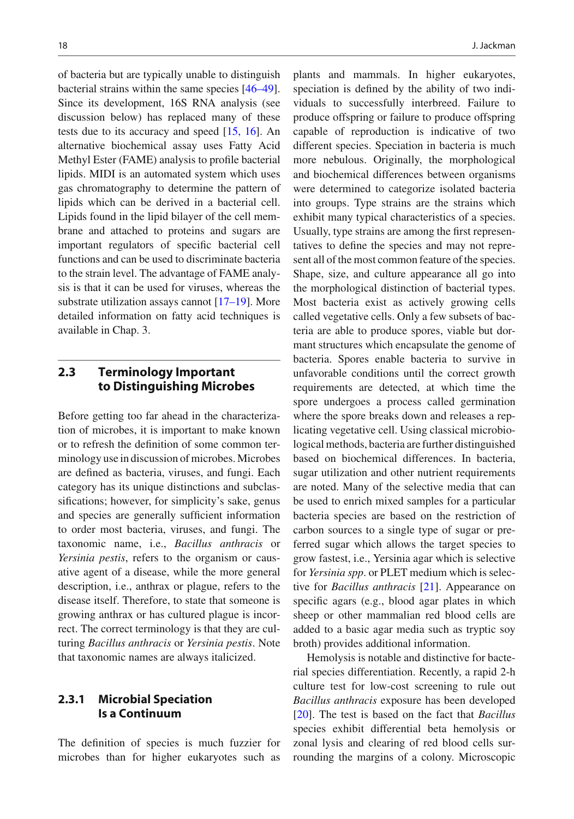of bacteria but are typically unable to distinguish bacterial strains within the same species [46–49]. Since its development, 16S RNA analysis (see discussion below) has replaced many of these tests due to its accuracy and speed  $[15, 16]$ . An alternative biochemical assay uses Fatty Acid Methyl Ester (FAME) analysis to profile bacterial lipids. MIDI is an automated system which uses gas chromatography to determine the pattern of lipids which can be derived in a bacterial cell. Lipids found in the lipid bilayer of the cell membrane and attached to proteins and sugars are important regulators of specific bacterial cell functions and can be used to discriminate bacteria to the strain level. The advantage of FAME analysis is that it can be used for viruses, whereas the substrate utilization assays cannot  $[17–19]$ . More detailed information on fatty acid techniques is available in Chap. 3.

## **2.3 Terminology Important to Distinguishing Microbes**

 Before getting too far ahead in the characterization of microbes, it is important to make known or to refresh the definition of some common terminology use in discussion of microbes. Microbes are defined as bacteria, viruses, and fungi. Each category has its unique distinctions and subclassifications; however, for simplicity's sake, genus and species are generally sufficient information to order most bacteria, viruses, and fungi. The taxonomic name, i.e., *Bacillus anthracis* or *Yersinia pestis* , refers to the organism or causative agent of a disease, while the more general description, i.e., anthrax or plague, refers to the disease itself. Therefore, to state that someone is growing anthrax or has cultured plague is incorrect. The correct terminology is that they are culturing *Bacillus anthracis* or *Yersinia pestis* . Note that taxonomic names are always italicized.

#### **2.3.1 Microbial Speciation Is a Continuum**

The definition of species is much fuzzier for microbes than for higher eukaryotes such as

plants and mammals. In higher eukaryotes, speciation is defined by the ability of two individuals to successfully interbreed. Failure to produce offspring or failure to produce offspring capable of reproduction is indicative of two different species. Speciation in bacteria is much more nebulous. Originally, the morphological and biochemical differences between organisms were determined to categorize isolated bacteria into groups. Type strains are the strains which exhibit many typical characteristics of a species. Usually, type strains are among the first representatives to define the species and may not represent all of the most common feature of the species. Shape, size, and culture appearance all go into the morphological distinction of bacterial types. Most bacteria exist as actively growing cells called vegetative cells. Only a few subsets of bacteria are able to produce spores, viable but dormant structures which encapsulate the genome of bacteria. Spores enable bacteria to survive in unfavorable conditions until the correct growth requirements are detected, at which time the spore undergoes a process called germination where the spore breaks down and releases a replicating vegetative cell. Using classical microbiological methods, bacteria are further distinguished based on biochemical differences. In bacteria, sugar utilization and other nutrient requirements are noted. Many of the selective media that can be used to enrich mixed samples for a particular bacteria species are based on the restriction of carbon sources to a single type of sugar or preferred sugar which allows the target species to grow fastest, i.e., Yersinia agar which is selective for *Yersinia spp* . or PLET medium which is selective for *Bacillus anthracis* [21]. Appearance on specific agars (e.g., blood agar plates in which sheep or other mammalian red blood cells are added to a basic agar media such as tryptic soy broth) provides additional information.

 Hemolysis is notable and distinctive for bacterial species differentiation. Recently, a rapid 2-h culture test for low-cost screening to rule out *Bacillus anthracis* exposure has been developed [20]. The test is based on the fact that *Bacillus* species exhibit differential beta hemolysis or zonal lysis and clearing of red blood cells surrounding the margins of a colony. Microscopic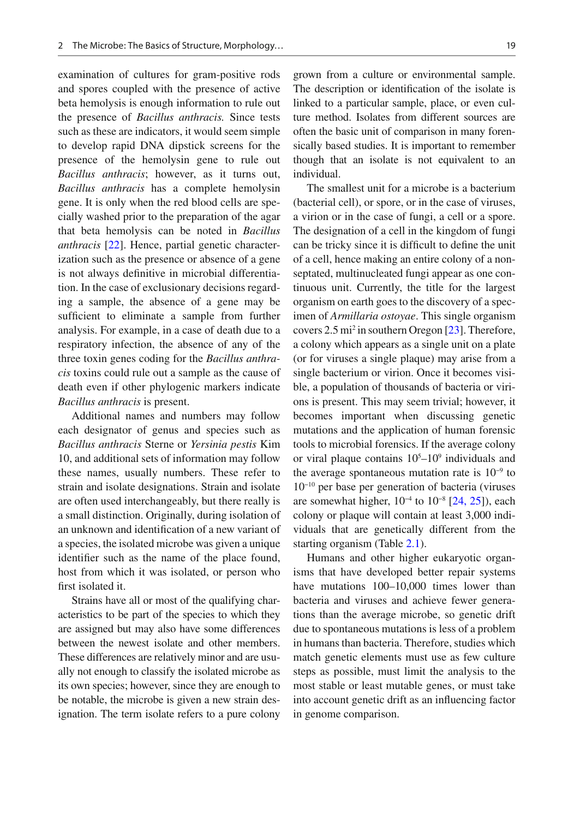examination of cultures for gram-positive rods and spores coupled with the presence of active beta hemolysis is enough information to rule out the presence of *Bacillus anthracis.* Since tests such as these are indicators, it would seem simple to develop rapid DNA dipstick screens for the presence of the hemolysin gene to rule out *Bacillus anthracis* ; however, as it turns out, *Bacillus anthracis* has a complete hemolysin gene. It is only when the red blood cells are specially washed prior to the preparation of the agar that beta hemolysis can be noted in *Bacillus anthracis* [22]. Hence, partial genetic characterization such as the presence or absence of a gene is not always definitive in microbial differentiation. In the case of exclusionary decisions regarding a sample, the absence of a gene may be sufficient to eliminate a sample from further analysis. For example, in a case of death due to a respiratory infection, the absence of any of the three toxin genes coding for the *Bacillus anthracis* toxins could rule out a sample as the cause of death even if other phylogenic markers indicate *Bacillus anthracis* is present.

 Additional names and numbers may follow each designator of genus and species such as *Bacillus anthracis* Sterne or *Yersinia pestis* Kim 10, and additional sets of information may follow these names, usually numbers. These refer to strain and isolate designations. Strain and isolate are often used interchangeably, but there really is a small distinction. Originally, during isolation of an unknown and identification of a new variant of a species, the isolated microbe was given a unique identifier such as the name of the place found, host from which it was isolated, or person who first isolated it.

 Strains have all or most of the qualifying characteristics to be part of the species to which they are assigned but may also have some differences between the newest isolate and other members. These differences are relatively minor and are usually not enough to classify the isolated microbe as its own species; however, since they are enough to be notable, the microbe is given a new strain designation. The term isolate refers to a pure colony

grown from a culture or environmental sample. The description or identification of the isolate is linked to a particular sample, place, or even culture method. Isolates from different sources are often the basic unit of comparison in many forensically based studies. It is important to remember though that an isolate is not equivalent to an individual.

 The smallest unit for a microbe is a bacterium (bacterial cell), or spore, or in the case of viruses, a virion or in the case of fungi, a cell or a spore. The designation of a cell in the kingdom of fungi can be tricky since it is difficult to define the unit of a cell, hence making an entire colony of a nonseptated, multinucleated fungi appear as one continuous unit. Currently, the title for the largest organism on earth goes to the discovery of a specimen of *Armillaria ostoyae* . This single organism covers  $2.5$  mi<sup>2</sup> in southern Oregon  $[23]$ . Therefore, a colony which appears as a single unit on a plate (or for viruses a single plaque) may arise from a single bacterium or virion. Once it becomes visible, a population of thousands of bacteria or virions is present. This may seem trivial; however, it becomes important when discussing genetic mutations and the application of human forensic tools to microbial forensics. If the average colony or viral plaque contains  $10<sup>5</sup>-10<sup>9</sup>$  individuals and the average spontaneous mutation rate is  $10^{-9}$  to 10<sup>-10</sup> per base per generation of bacteria (viruses are somewhat higher,  $10^{-4}$  to  $10^{-8}$  [24, 25]), each colony or plaque will contain at least 3,000 individuals that are genetically different from the starting organism (Table 2.1).

 Humans and other higher eukaryotic organisms that have developed better repair systems have mutations 100–10,000 times lower than bacteria and viruses and achieve fewer generations than the average microbe, so genetic drift due to spontaneous mutations is less of a problem in humans than bacteria. Therefore, studies which match genetic elements must use as few culture steps as possible, must limit the analysis to the most stable or least mutable genes, or must take into account genetic drift as an influencing factor in genome comparison.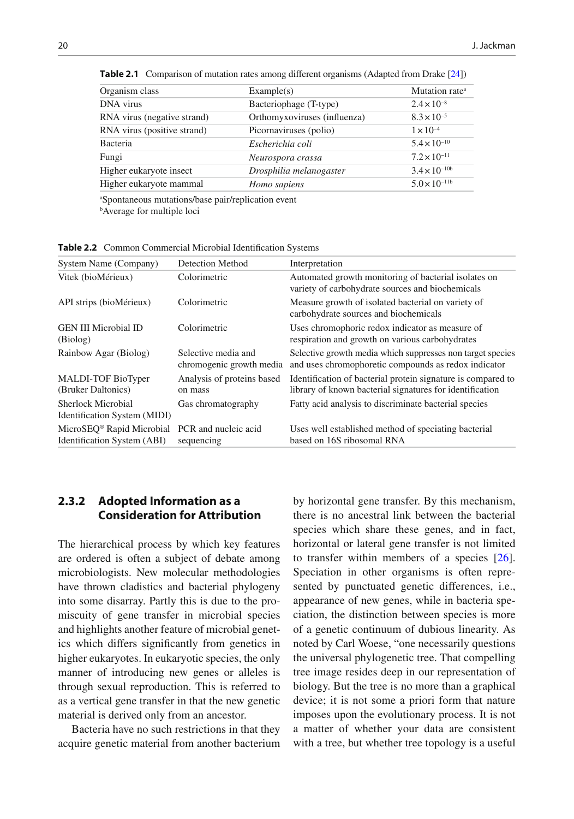| Organism class              | Example(s)                             | Mutation rate <sup>a</sup><br>$2.4 \times 10^{-8}$ |
|-----------------------------|----------------------------------------|----------------------------------------------------|
| DNA virus                   | Bacteriophage (T-type)                 |                                                    |
| RNA virus (negative strand) | Orthomyxoviruses (influenza)           | $8.3 \times 10^{-5}$                               |
| RNA virus (positive strand) | Picornaviruses (polio)                 | $1 \times 10^{-4}$                                 |
| Bacteria                    | Escherichia coli                       | $5.4 \times 10^{-10}$                              |
| Fungi                       | Neurospora crassa                      | $7.2 \times 10^{-11}$                              |
| Higher eukaryote insect     | Drosphilia melanogaster                | $3.4 \times 10^{-10b}$                             |
| Higher eukaryote mammal     | $5.0 \times 10^{-11b}$<br>Homo sapiens |                                                    |

<span id="page-7-0"></span>**Table 2.1** Comparison of mutation rates among different organisms (Adapted from Drake [24])

a Spontaneous mutations/base pair/replication event

b Average for multiple loci

**Table 2.2** Common Commercial Microbial Identification Systems

| System Name (Company)                                                | Detection Method                                | Interpretation                                                                                                           |
|----------------------------------------------------------------------|-------------------------------------------------|--------------------------------------------------------------------------------------------------------------------------|
| Vitek (bioMérieux)                                                   | Colorimetric                                    | Automated growth monitoring of bacterial isolates on<br>variety of carbohydrate sources and biochemicals                 |
| API strips (bioMérieux)                                              | Colorimetric                                    | Measure growth of isolated bacterial on variety of<br>carbohydrate sources and biochemicals                              |
| <b>GEN III Microbial ID</b><br>(Biolog)                              | Colorimetric                                    | Uses chromophoric redox indicator as measure of<br>respiration and growth on various carbohydrates                       |
| Rainbow Agar (Biolog)                                                | Selective media and<br>chromogenic growth media | Selective growth media which suppresses non target species<br>and uses chromophoretic compounds as redox indicator       |
| MALDI-TOF BioTyper<br>(Bruker Daltonics)                             | Analysis of proteins based<br>on mass           | Identification of bacterial protein signature is compared to<br>library of known bacterial signatures for identification |
| Sherlock Microbial<br>Identification System (MIDI)                   | Gas chromatography                              | Fatty acid analysis to discriminate bacterial species                                                                    |
| MicroSEO <sup>®</sup> Rapid Microbial<br>Identification System (ABI) | PCR and nucleic acid<br>sequencing              | Uses well established method of speciating bacterial<br>based on 16S ribosomal RNA                                       |

## **2.3.2 Adopted Information as a Consideration for Attribution**

 The hierarchical process by which key features are ordered is often a subject of debate among microbiologists. New molecular methodologies have thrown cladistics and bacterial phylogeny into some disarray. Partly this is due to the promiscuity of gene transfer in microbial species and highlights another feature of microbial genetics which differs significantly from genetics in higher eukaryotes. In eukaryotic species, the only manner of introducing new genes or alleles is through sexual reproduction. This is referred to as a vertical gene transfer in that the new genetic material is derived only from an ancestor.

 Bacteria have no such restrictions in that they acquire genetic material from another bacterium by horizontal gene transfer. By this mechanism, there is no ancestral link between the bacterial species which share these genes, and in fact, horizontal or lateral gene transfer is not limited to transfer within members of a species  $[26]$ . Speciation in other organisms is often represented by punctuated genetic differences, i.e., appearance of new genes, while in bacteria speciation, the distinction between species is more of a genetic continuum of dubious linearity. As noted by Carl Woese, "one necessarily questions the universal phylogenetic tree. That compelling tree image resides deep in our representation of biology. But the tree is no more than a graphical device; it is not some a priori form that nature imposes upon the evolutionary process. It is not a matter of whether your data are consistent with a tree, but whether tree topology is a useful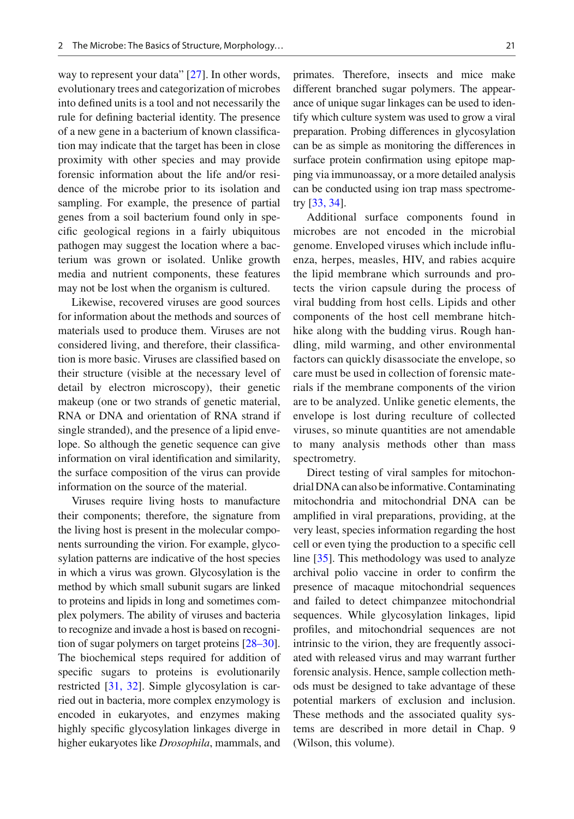way to represent your data"  $[27]$ . In other words, evolutionary trees and categorization of microbes into defined units is a tool and not necessarily the rule for defining bacterial identity. The presence of a new gene in a bacterium of known classification may indicate that the target has been in close proximity with other species and may provide forensic information about the life and/or residence of the microbe prior to its isolation and sampling. For example, the presence of partial genes from a soil bacterium found only in specific geological regions in a fairly ubiquitous pathogen may suggest the location where a bacterium was grown or isolated. Unlike growth media and nutrient components, these features may not be lost when the organism is cultured.

 Likewise, recovered viruses are good sources for information about the methods and sources of materials used to produce them. Viruses are not considered living, and therefore, their classification is more basic. Viruses are classified based on their structure (visible at the necessary level of detail by electron microscopy), their genetic makeup (one or two strands of genetic material, RNA or DNA and orientation of RNA strand if single stranded), and the presence of a lipid envelope. So although the genetic sequence can give information on viral identification and similarity, the surface composition of the virus can provide information on the source of the material.

 Viruses require living hosts to manufacture their components; therefore, the signature from the living host is present in the molecular components surrounding the virion. For example, glycosylation patterns are indicative of the host species in which a virus was grown. Glycosylation is the method by which small subunit sugars are linked to proteins and lipids in long and sometimes complex polymers. The ability of viruses and bacteria to recognize and invade a host is based on recognition of sugar polymers on target proteins  $[28–30]$ . The biochemical steps required for addition of specific sugars to proteins is evolutionarily restricted  $[31, 32]$ . Simple glycosylation is carried out in bacteria, more complex enzymology is encoded in eukaryotes, and enzymes making highly specific glycosylation linkages diverge in higher eukaryotes like *Drosophila*, mammals, and primates. Therefore, insects and mice make different branched sugar polymers. The appearance of unique sugar linkages can be used to identify which culture system was used to grow a viral preparation. Probing differences in glycosylation can be as simple as monitoring the differences in surface protein confirmation using epitope mapping via immunoassay, or a more detailed analysis can be conducted using ion trap mass spectrometry  $[33, 34]$ .

 Additional surface components found in microbes are not encoded in the microbial genome. Enveloped viruses which include influenza, herpes, measles, HIV, and rabies acquire the lipid membrane which surrounds and protects the virion capsule during the process of viral budding from host cells. Lipids and other components of the host cell membrane hitchhike along with the budding virus. Rough handling, mild warming, and other environmental factors can quickly disassociate the envelope, so care must be used in collection of forensic materials if the membrane components of the virion are to be analyzed. Unlike genetic elements, the envelope is lost during reculture of collected viruses, so minute quantities are not amendable to many analysis methods other than mass spectrometry.

 Direct testing of viral samples for mitochondrial DNA can also be informative. Contaminating mitochondria and mitochondrial DNA can be amplified in viral preparations, providing, at the very least, species information regarding the host cell or even tying the production to a specific cell line  $[35]$ . This methodology was used to analyze archival polio vaccine in order to confirm the presence of macaque mitochondrial sequences and failed to detect chimpanzee mitochondrial sequences. While glycosylation linkages, lipid profiles, and mitochondrial sequences are not intrinsic to the virion, they are frequently associated with released virus and may warrant further forensic analysis. Hence, sample collection methods must be designed to take advantage of these potential markers of exclusion and inclusion. These methods and the associated quality systems are described in more detail in Chap. 9 (Wilson, this volume).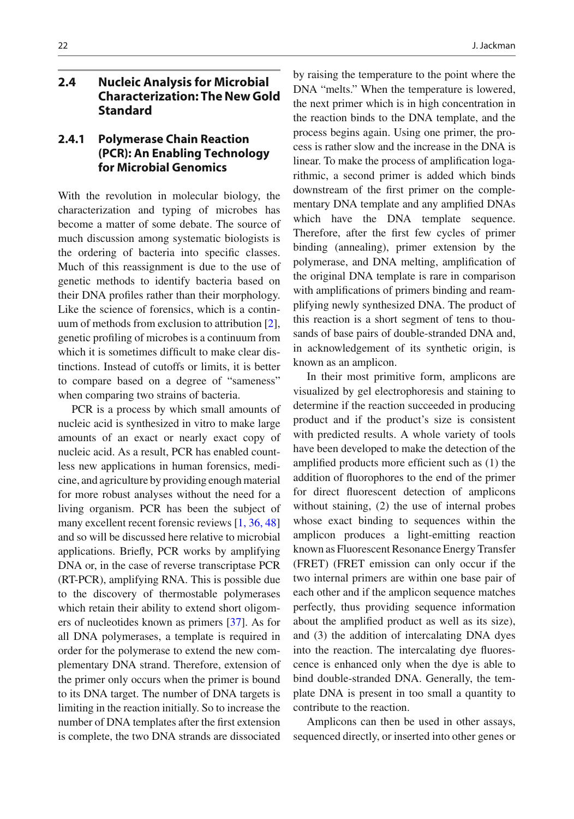# **2.4 Nucleic Analysis for Microbial Characterization: The New Gold Standard**

## **2.4.1 Polymerase Chain Reaction (PCR): An Enabling Technology for Microbial Genomics**

 With the revolution in molecular biology, the characterization and typing of microbes has become a matter of some debate. The source of much discussion among systematic biologists is the ordering of bacteria into specific classes. Much of this reassignment is due to the use of genetic methods to identify bacteria based on their DNA profiles rather than their morphology. Like the science of forensics, which is a continuum of methods from exclusion to attribution  $[2]$ , genetic profiling of microbes is a continuum from which it is sometimes difficult to make clear distinctions. Instead of cutoffs or limits, it is better to compare based on a degree of "sameness" when comparing two strains of bacteria.

 PCR is a process by which small amounts of nucleic acid is synthesized in vitro to make large amounts of an exact or nearly exact copy of nucleic acid. As a result, PCR has enabled countless new applications in human forensics, medicine, and agriculture by providing enough material for more robust analyses without the need for a living organism. PCR has been the subject of many excellent recent forensic reviews  $[1, 36, 48]$  $[1, 36, 48]$  $[1, 36, 48]$ and so will be discussed here relative to microbial applications. Briefly, PCR works by amplifying DNA or, in the case of reverse transcriptase PCR (RT-PCR), amplifying RNA. This is possible due to the discovery of thermostable polymerases which retain their ability to extend short oligomers of nucleotides known as primers [37]. As for all DNA polymerases, a template is required in order for the polymerase to extend the new complementary DNA strand. Therefore, extension of the primer only occurs when the primer is bound to its DNA target. The number of DNA targets is limiting in the reaction initially. So to increase the number of DNA templates after the first extension is complete, the two DNA strands are dissociated by raising the temperature to the point where the DNA "melts." When the temperature is lowered, the next primer which is in high concentration in the reaction binds to the DNA template, and the process begins again. Using one primer, the process is rather slow and the increase in the DNA is linear. To make the process of amplification logarithmic, a second primer is added which binds downstream of the first primer on the complementary DNA template and any amplified DNAs which have the DNA template sequence. Therefore, after the first few cycles of primer binding (annealing), primer extension by the polymerase, and DNA melting, amplification of the original DNA template is rare in comparison with amplifications of primers binding and reamplifying newly synthesized DNA. The product of this reaction is a short segment of tens to thousands of base pairs of double-stranded DNA and, in acknowledgement of its synthetic origin, is known as an amplicon.

 In their most primitive form, amplicons are visualized by gel electrophoresis and staining to determine if the reaction succeeded in producing product and if the product's size is consistent with predicted results. A whole variety of tools have been developed to make the detection of the amplified products more efficient such as (1) the addition of fluorophores to the end of the primer for direct fluorescent detection of amplicons without staining, (2) the use of internal probes whose exact binding to sequences within the amplicon produces a light-emitting reaction known as Fluorescent Resonance Energy Transfer (FRET) (FRET emission can only occur if the two internal primers are within one base pair of each other and if the amplicon sequence matches perfectly, thus providing sequence information about the amplified product as well as its size), and (3) the addition of intercalating DNA dyes into the reaction. The intercalating dye fluorescence is enhanced only when the dye is able to bind double-stranded DNA. Generally, the template DNA is present in too small a quantity to contribute to the reaction.

 Amplicons can then be used in other assays, sequenced directly, or inserted into other genes or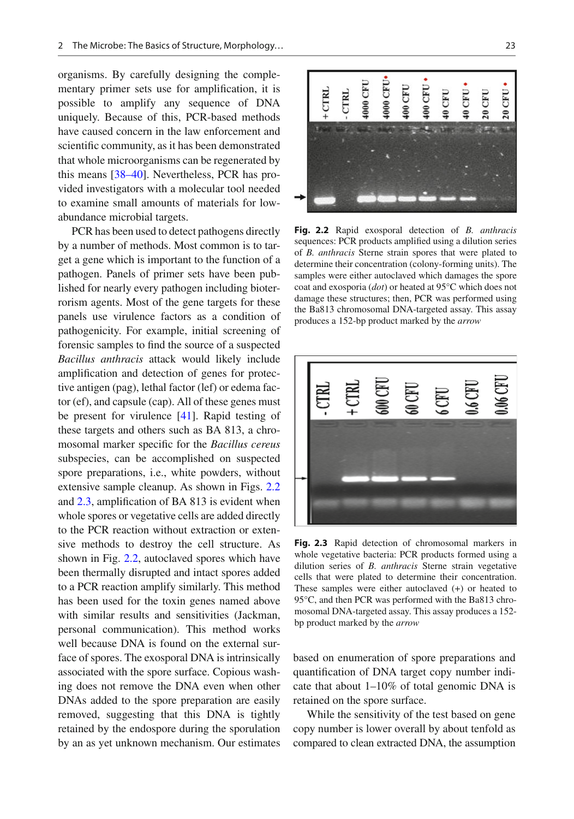organisms. By carefully designing the complementary primer sets use for amplification, it is possible to amplify any sequence of DNA uniquely. Because of this, PCR-based methods have caused concern in the law enforcement and scientific community, as it has been demonstrated that whole microorganisms can be regenerated by this means  $[38-40]$ . Nevertheless, PCR has provided investigators with a molecular tool needed to examine small amounts of materials for lowabundance microbial targets.

 PCR has been used to detect pathogens directly by a number of methods. Most common is to target a gene which is important to the function of a pathogen. Panels of primer sets have been published for nearly every pathogen including bioterrorism agents. Most of the gene targets for these panels use virulence factors as a condition of pathogenicity. For example, initial screening of forensic samples to find the source of a suspected *Bacillus anthracis* attack would likely include amplification and detection of genes for protective antigen (pag), lethal factor (lef) or edema factor (ef), and capsule (cap). All of these genes must be present for virulence  $[41]$ . Rapid testing of these targets and others such as BA 813, a chromosomal marker specific for the *Bacillus cereus* subspecies, can be accomplished on suspected spore preparations, i.e., white powders, without extensive sample cleanup. As shown in Figs. 2.2 and  $2.3$ , amplification of BA 813 is evident when whole spores or vegetative cells are added directly to the PCR reaction without extraction or extensive methods to destroy the cell structure. As shown in Fig. 2.2 , autoclaved spores which have been thermally disrupted and intact spores added to a PCR reaction amplify similarly. This method has been used for the toxin genes named above with similar results and sensitivities (Jackman, personal communication). This method works well because DNA is found on the external surface of spores. The exosporal DNA is intrinsically associated with the spore surface. Copious washing does not remove the DNA even when other DNAs added to the spore preparation are easily removed, suggesting that this DNA is tightly retained by the endospore during the sporulation by an as yet unknown mechanism. Our estimates



 **Fig. 2.2** Rapid exosporal detection of *B. anthracis* sequences: PCR products amplified using a dilution series of *B. anthracis* Sterne strain spores that were plated to determine their concentration (colony-forming units). The samples were either autoclaved which damages the spore coat and exosporia ( *dot* ) or heated at 95°C which does not damage these structures; then, PCR was performed using the Ba813 chromosomal DNA-targeted assay. This assay produces a 152-bp product marked by the *arrow*



 **Fig. 2.3** Rapid detection of chromosomal markers in whole vegetative bacteria: PCR products formed using a dilution series of *B. anthracis* Sterne strain vegetative cells that were plated to determine their concentration. These samples were either autoclaved  $(+)$  or heated to 95°C, and then PCR was performed with the Ba813 chromosomal DNA-targeted assay. This assay produces a 152 bp product marked by the *arrow*

based on enumeration of spore preparations and quantification of DNA target copy number indicate that about 1–10% of total genomic DNA is retained on the spore surface.

 While the sensitivity of the test based on gene copy number is lower overall by about tenfold as compared to clean extracted DNA, the assumption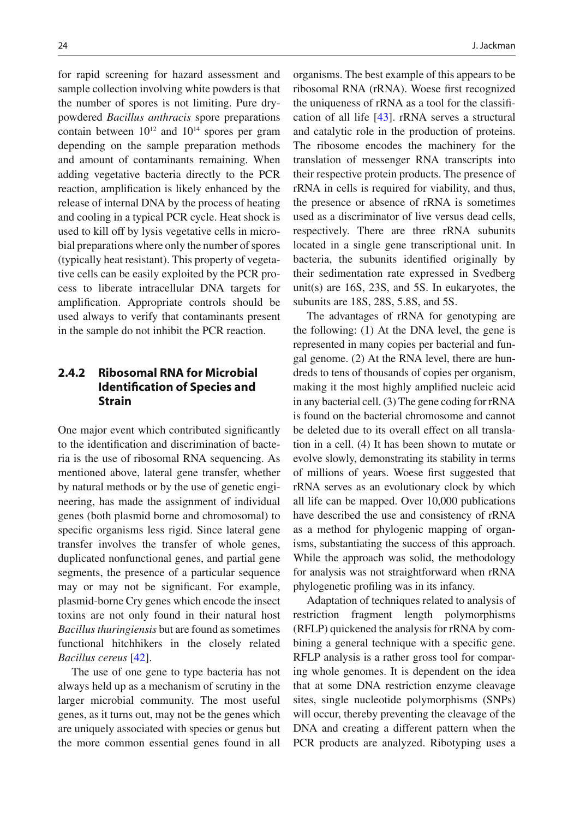for rapid screening for hazard assessment and sample collection involving white powders is that the number of spores is not limiting. Pure drypowdered *Bacillus anthracis* spore preparations contain between  $10^{12}$  and  $10^{14}$  spores per gram depending on the sample preparation methods and amount of contaminants remaining. When adding vegetative bacteria directly to the PCR reaction, amplification is likely enhanced by the release of internal DNA by the process of heating and cooling in a typical PCR cycle. Heat shock is used to kill off by lysis vegetative cells in microbial preparations where only the number of spores (typically heat resistant). This property of vegetative cells can be easily exploited by the PCR process to liberate intracellular DNA targets for amplification. Appropriate controls should be used always to verify that contaminants present in the sample do not inhibit the PCR reaction.

# **2.4.2 Ribosomal RNA for Microbial Identification of Species and Strain**

One major event which contributed significantly to the identification and discrimination of bacteria is the use of ribosomal RNA sequencing. As mentioned above, lateral gene transfer, whether by natural methods or by the use of genetic engineering, has made the assignment of individual genes (both plasmid borne and chromosomal) to specific organisms less rigid. Since lateral gene transfer involves the transfer of whole genes, duplicated nonfunctional genes, and partial gene segments, the presence of a particular sequence may or may not be significant. For example, plasmid-borne Cry genes which encode the insect toxins are not only found in their natural host *Bacillus thuringiensis* but are found as sometimes functional hitchhikers in the closely related *Bacillus cereus* [42].

 The use of one gene to type bacteria has not always held up as a mechanism of scrutiny in the larger microbial community. The most useful genes, as it turns out, may not be the genes which are uniquely associated with species or genus but the more common essential genes found in all organisms. The best example of this appears to be ribosomal RNA (rRNA). Woese first recognized the uniqueness of rRNA as a tool for the classifi cation of all life  $[43]$ . rRNA serves a structural and catalytic role in the production of proteins. The ribosome encodes the machinery for the translation of messenger RNA transcripts into their respective protein products. The presence of rRNA in cells is required for viability, and thus, the presence or absence of rRNA is sometimes used as a discriminator of live versus dead cells, respectively. There are three rRNA subunits located in a single gene transcriptional unit. In bacteria, the subunits identified originally by their sedimentation rate expressed in Svedberg unit(s) are 16S, 23S, and 5S. In eukaryotes, the subunits are 18S, 28S, 5.8S, and 5S.

 The advantages of rRNA for genotyping are the following: (1) At the DNA level, the gene is represented in many copies per bacterial and fungal genome. (2) At the RNA level, there are hundreds to tens of thousands of copies per organism, making it the most highly amplified nucleic acid in any bacterial cell. (3) The gene coding for rRNA is found on the bacterial chromosome and cannot be deleted due to its overall effect on all translation in a cell. (4) It has been shown to mutate or evolve slowly, demonstrating its stability in terms of millions of years. Woese first suggested that rRNA serves as an evolutionary clock by which all life can be mapped. Over 10,000 publications have described the use and consistency of rRNA as a method for phylogenic mapping of organisms, substantiating the success of this approach. While the approach was solid, the methodology for analysis was not straightforward when rRNA phylogenetic profiling was in its infancy.

 Adaptation of techniques related to analysis of restriction fragment length polymorphisms (RFLP) quickened the analysis for rRNA by combining a general technique with a specific gene. RFLP analysis is a rather gross tool for comparing whole genomes. It is dependent on the idea that at some DNA restriction enzyme cleavage sites, single nucleotide polymorphisms (SNPs) will occur, thereby preventing the cleavage of the DNA and creating a different pattern when the PCR products are analyzed. Ribotyping uses a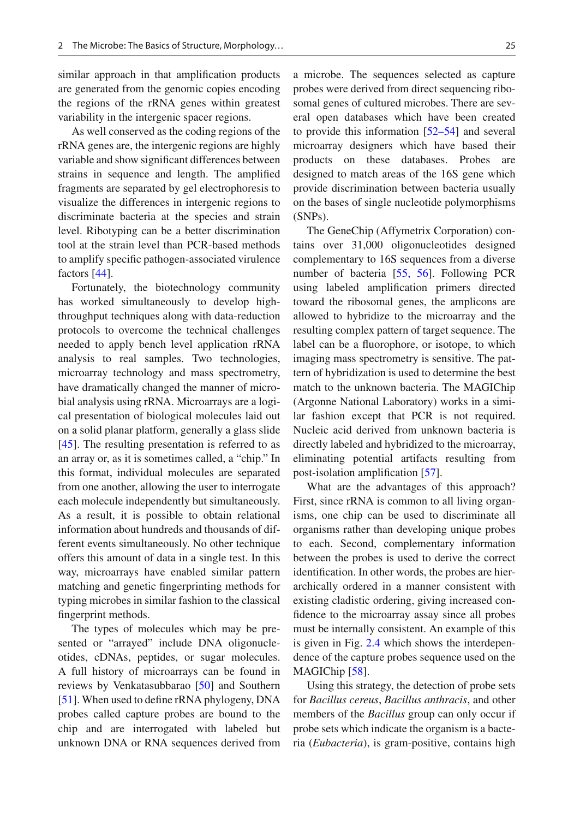similar approach in that amplification products are generated from the genomic copies encoding the regions of the rRNA genes within greatest variability in the intergenic spacer regions.

 As well conserved as the coding regions of the rRNA genes are, the intergenic regions are highly variable and show significant differences between strains in sequence and length. The amplified fragments are separated by gel electrophoresis to visualize the differences in intergenic regions to discriminate bacteria at the species and strain level. Ribotyping can be a better discrimination tool at the strain level than PCR-based methods to amplify specific pathogen-associated virulence factors  $[44]$ .

 Fortunately, the biotechnology community has worked simultaneously to develop highthroughput techniques along with data-reduction protocols to overcome the technical challenges needed to apply bench level application rRNA analysis to real samples. Two technologies, microarray technology and mass spectrometry, have dramatically changed the manner of microbial analysis using rRNA. Microarrays are a logical presentation of biological molecules laid out on a solid planar platform, generally a glass slide  $[45]$ . The resulting presentation is referred to as an array or, as it is sometimes called, a "chip." In this format, individual molecules are separated from one another, allowing the user to interrogate each molecule independently but simultaneously. As a result, it is possible to obtain relational information about hundreds and thousands of different events simultaneously. No other technique offers this amount of data in a single test. In this way, microarrays have enabled similar pattern matching and genetic fingerprinting methods for typing microbes in similar fashion to the classical fingerprint methods.

 The types of molecules which may be presented or "arrayed" include DNA oligonucleotides, cDNAs, peptides, or sugar molecules. A full history of microarrays can be found in reviews by Venkatasubbarao [50] and Southern [51]. When used to define rRNA phylogeny, DNA probes called capture probes are bound to the chip and are interrogated with labeled but unknown DNA or RNA sequences derived from a microbe. The sequences selected as capture probes were derived from direct sequencing ribosomal genes of cultured microbes. There are several open databases which have been created to provide this information  $[52-54]$  and several microarray designers which have based their products on these databases. Probes are designed to match areas of the 16S gene which provide discrimination between bacteria usually on the bases of single nucleotide polymorphisms (SNPs).

 The GeneChip (Affymetrix Corporation) contains over 31,000 oligonucleotides designed complementary to 16S sequences from a diverse number of bacteria [55, 56]. Following PCR using labeled amplification primers directed toward the ribosomal genes, the amplicons are allowed to hybridize to the microarray and the resulting complex pattern of target sequence. The label can be a fluorophore, or isotope, to which imaging mass spectrometry is sensitive. The pattern of hybridization is used to determine the best match to the unknown bacteria. The MAGIChip (Argonne National Laboratory) works in a similar fashion except that PCR is not required. Nucleic acid derived from unknown bacteria is directly labeled and hybridized to the microarray, eliminating potential artifacts resulting from post-isolation amplification [57].

 What are the advantages of this approach? First, since rRNA is common to all living organisms, one chip can be used to discriminate all organisms rather than developing unique probes to each. Second, complementary information between the probes is used to derive the correct identification. In other words, the probes are hierarchically ordered in a manner consistent with existing cladistic ordering, giving increased confidence to the microarray assay since all probes must be internally consistent. An example of this is given in Fig. [2.4](#page-13-0) which shows the interdependence of the capture probes sequence used on the  $MAGIChip [58]$ .

 Using this strategy, the detection of probe sets for *Bacillus cereus* , *Bacillus anthracis* , and other members of the *Bacillus* group can only occur if probe sets which indicate the organism is a bacteria ( *Eubacteria* ), is gram-positive, contains high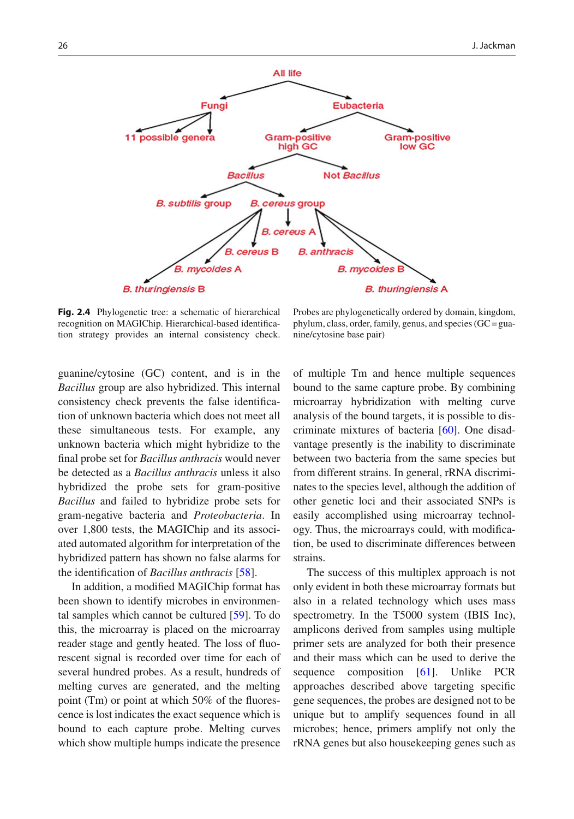<span id="page-13-0"></span>

 **Fig. 2.4** Phylogenetic tree: a schematic of hierarchical recognition on MAGIChip. Hierarchical-based identification strategy provides an internal consistency check.

Probes are phylogenetically ordered by domain, kingdom, phylum, class, order, family, genus, and species (GC = guanine/cytosine base pair)

guanine/cytosine (GC) content, and is in the *Bacillus* group are also hybridized. This internal consistency check prevents the false identification of unknown bacteria which does not meet all these simultaneous tests. For example, any unknown bacteria which might hybridize to the final probe set for *Bacillus anthracis* would never be detected as a *Bacillus anthracis* unless it also hybridized the probe sets for gram-positive *Bacillus* and failed to hybridize probe sets for gram-negative bacteria and *Proteobacteria* . In over 1,800 tests, the MAGIChip and its associated automated algorithm for interpretation of the hybridized pattern has shown no false alarms for the identification of *Bacillus anthracis* [58].

In addition, a modified MAGIChip format has been shown to identify microbes in environmental samples which cannot be cultured  $[59]$ . To do this, the microarray is placed on the microarray reader stage and gently heated. The loss of fluorescent signal is recorded over time for each of several hundred probes. As a result, hundreds of melting curves are generated, and the melting point (Tm) or point at which  $50\%$  of the fluorescence is lost indicates the exact sequence which is bound to each capture probe. Melting curves which show multiple humps indicate the presence

of multiple Tm and hence multiple sequences bound to the same capture probe. By combining microarray hybridization with melting curve analysis of the bound targets, it is possible to discriminate mixtures of bacteria  $[60]$ . One disadvantage presently is the inability to discriminate between two bacteria from the same species but from different strains. In general, rRNA discriminates to the species level, although the addition of other genetic loci and their associated SNPs is easily accomplished using microarray technology. Thus, the microarrays could, with modification, be used to discriminate differences between strains.

 The success of this multiplex approach is not only evident in both these microarray formats but also in a related technology which uses mass spectrometry. In the T5000 system (IBIS Inc), amplicons derived from samples using multiple primer sets are analyzed for both their presence and their mass which can be used to derive the sequence composition  $[61]$ . Unlike PCR approaches described above targeting specific gene sequences, the probes are designed not to be unique but to amplify sequences found in all microbes; hence, primers amplify not only the rRNA genes but also housekeeping genes such as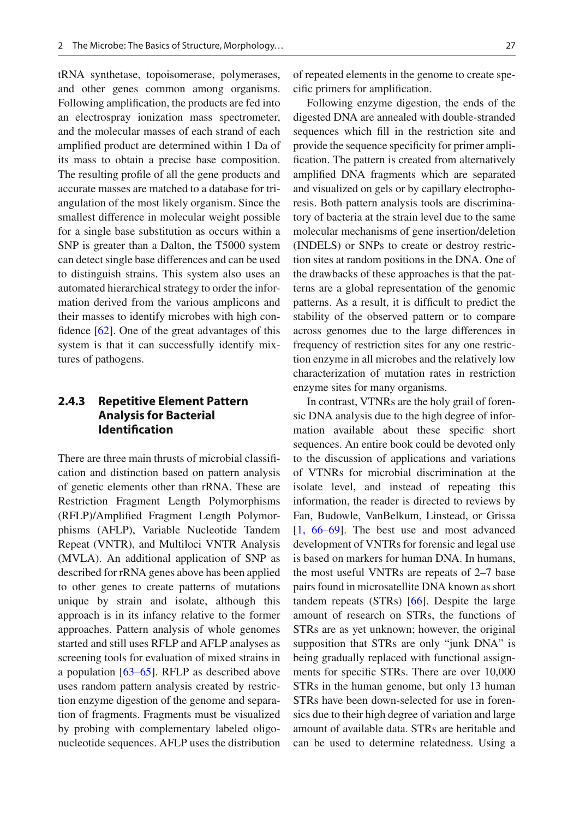tRNA synthetase, topoisomerase, polymerases, and other genes common among organisms. Following amplification, the products are fed into an electrospray ionization mass spectrometer, and the molecular masses of each strand of each amplified product are determined within 1 Da of its mass to obtain a precise base composition. The resulting profile of all the gene products and accurate masses are matched to a database for triangulation of the most likely organism. Since the smallest difference in molecular weight possible for a single base substitution as occurs within a SNP is greater than a Dalton, the T5000 system can detect single base differences and can be used to distinguish strains. This system also uses an automated hierarchical strategy to order the information derived from the various amplicons and their masses to identify microbes with high confidence  $[62]$ . One of the great advantages of this system is that it can successfully identify mixtures of pathogens.

# **2.4.3 Repetitive Element Pattern Analysis for Bacterial Identifi cation**

There are three main thrusts of microbial classification and distinction based on pattern analysis of genetic elements other than rRNA. These are Restriction Fragment Length Polymorphisms (RFLP)/Amplified Fragment Length Polymorphisms (AFLP), Variable Nucleotide Tandem Repeat (VNTR), and Multiloci VNTR Analysis (MVLA). An additional application of SNP as described for rRNA genes above has been applied to other genes to create patterns of mutations unique by strain and isolate, although this approach is in its infancy relative to the former approaches. Pattern analysis of whole genomes started and still uses RFLP and AFLP analyses as screening tools for evaluation of mixed strains in a population  $[63-65]$ . RFLP as described above uses random pattern analysis created by restriction enzyme digestion of the genome and separation of fragments. Fragments must be visualized by probing with complementary labeled oligonucleotide sequences. AFLP uses the distribution of repeated elements in the genome to create specific primers for amplification.

 Following enzyme digestion, the ends of the digested DNA are annealed with double-stranded sequences which fill in the restriction site and provide the sequence specificity for primer amplification. The pattern is created from alternatively amplified DNA fragments which are separated and visualized on gels or by capillary electrophoresis. Both pattern analysis tools are discriminatory of bacteria at the strain level due to the same molecular mechanisms of gene insertion/deletion (INDELS) or SNPs to create or destroy restriction sites at random positions in the DNA. One of the drawbacks of these approaches is that the patterns are a global representation of the genomic patterns. As a result, it is difficult to predict the stability of the observed pattern or to compare across genomes due to the large differences in frequency of restriction sites for any one restriction enzyme in all microbes and the relatively low characterization of mutation rates in restriction enzyme sites for many organisms.

 In contrast, VTNRs are the holy grail of forensic DNA analysis due to the high degree of information available about these specific short sequences. An entire book could be devoted only to the discussion of applications and variations of VTNRs for microbial discrimination at the isolate level, and instead of repeating this information, the reader is directed to reviews by Fan, Budowle, VanBelkum, Linstead, or Grissa  $[1, 66-69]$ . The best use and most advanced development of VNTRs for forensic and legal use is based on markers for human DNA. In humans, the most useful VNTRs are repeats of 2–7 base pairs found in microsatellite DNA known as short tandem repeats  $(STRs)$  [66]. Despite the large amount of research on STRs, the functions of STRs are as yet unknown; however, the original supposition that STRs are only "junk DNA" is being gradually replaced with functional assignments for specific STRs. There are over 10,000 STRs in the human genome, but only 13 human STRs have been down-selected for use in forensics due to their high degree of variation and large amount of available data. STRs are heritable and can be used to determine relatedness. Using a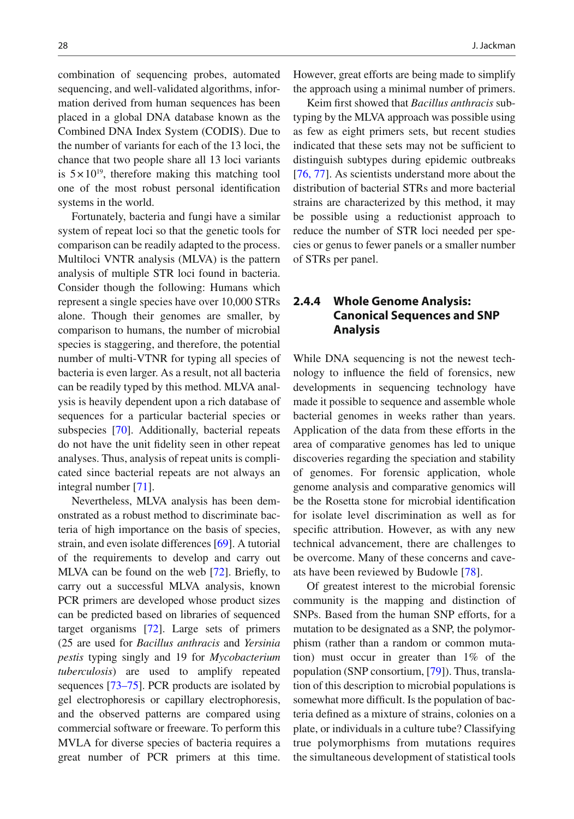combination of sequencing probes, automated sequencing, and well-validated algorithms, information derived from human sequences has been placed in a global DNA database known as the Combined DNA Index System (CODIS). Due to the number of variants for each of the 13 loci, the chance that two people share all 13 loci variants is  $5 \times 10^{19}$ , therefore making this matching tool one of the most robust personal identification systems in the world.

 Fortunately, bacteria and fungi have a similar system of repeat loci so that the genetic tools for comparison can be readily adapted to the process. Multiloci VNTR analysis (MLVA) is the pattern analysis of multiple STR loci found in bacteria. Consider though the following: Humans which represent a single species have over 10,000 STRs alone. Though their genomes are smaller, by comparison to humans, the number of microbial species is staggering, and therefore, the potential number of multi-VTNR for typing all species of bacteria is even larger. As a result, not all bacteria can be readily typed by this method. MLVA analysis is heavily dependent upon a rich database of sequences for a particular bacterial species or subspecies [70]. Additionally, bacterial repeats do not have the unit fidelity seen in other repeat analyses. Thus, analysis of repeat units is complicated since bacterial repeats are not always an integral number  $[71]$ .

 Nevertheless, MLVA analysis has been demonstrated as a robust method to discriminate bacteria of high importance on the basis of species, strain, and even isolate differences [69]. A tutorial of the requirements to develop and carry out MLVA can be found on the web  $[72]$ . Briefly, to carry out a successful MLVA analysis, known PCR primers are developed whose product sizes can be predicted based on libraries of sequenced target organisms  $[72]$ . Large sets of primers (25 are used for *Bacillus anthracis* and *Yersinia pestis* typing singly and 19 for *Mycobacterium tuberculosis* ) are used to amplify repeated sequences  $[73-75]$ . PCR products are isolated by gel electrophoresis or capillary electrophoresis, and the observed patterns are compared using commercial software or freeware. To perform this MVLA for diverse species of bacteria requires a great number of PCR primers at this time. However, great efforts are being made to simplify the approach using a minimal number of primers.

Keim first showed that *Bacillus anthracis* subtyping by the MLVA approach was possible using as few as eight primers sets, but recent studies indicated that these sets may not be sufficient to distinguish subtypes during epidemic outbreaks [76, 77]. As scientists understand more about the distribution of bacterial STRs and more bacterial strains are characterized by this method, it may be possible using a reductionist approach to reduce the number of STR loci needed per species or genus to fewer panels or a smaller number of STRs per panel.

# **2.4.4 Whole Genome Analysis: Canonical Sequences and SNP Analysis**

 While DNA sequencing is not the newest technology to influence the field of forensics, new developments in sequencing technology have made it possible to sequence and assemble whole bacterial genomes in weeks rather than years. Application of the data from these efforts in the area of comparative genomes has led to unique discoveries regarding the speciation and stability of genomes. For forensic application, whole genome analysis and comparative genomics will be the Rosetta stone for microbial identification for isolate level discrimination as well as for specific attribution. However, as with any new technical advancement, there are challenges to be overcome. Many of these concerns and caveats have been reviewed by Budowle [78].

 Of greatest interest to the microbial forensic community is the mapping and distinction of SNPs. Based from the human SNP efforts, for a mutation to be designated as a SNP, the polymorphism (rather than a random or common mutation) must occur in greater than 1% of the population (SNP consortium, [79]). Thus, translation of this description to microbial populations is somewhat more difficult. Is the population of bacteria defined as a mixture of strains, colonies on a plate, or individuals in a culture tube? Classifying true polymorphisms from mutations requires the simultaneous development of statistical tools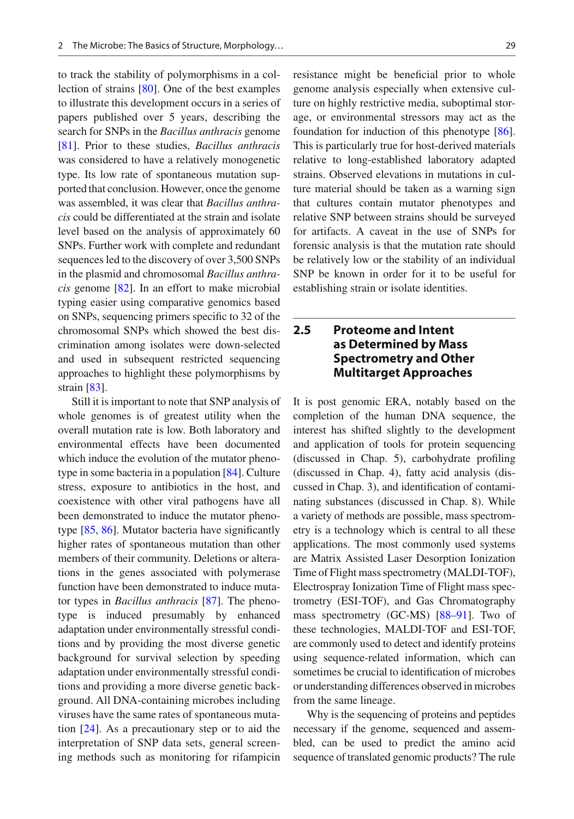to track the stability of polymorphisms in a collection of strains  $[80]$ . One of the best examples to illustrate this development occurs in a series of papers published over 5 years, describing the search for SNPs in the *Bacillus anthracis* genome [81]. Prior to these studies, *Bacillus anthracis* was considered to have a relatively monogenetic type. Its low rate of spontaneous mutation supported that conclusion. However, once the genome was assembled, it was clear that *Bacillus anthracis* could be differentiated at the strain and isolate level based on the analysis of approximately 60 SNPs. Further work with complete and redundant sequences led to the discovery of over 3,500 SNPs in the plasmid and chromosomal *Bacillus anthracis* genome [82]. In an effort to make microbial typing easier using comparative genomics based on SNPs, sequencing primers specific to 32 of the chromosomal SNPs which showed the best discrimination among isolates were down-selected and used in subsequent restricted sequencing approaches to highlight these polymorphisms by strain  $[83]$ .

 Still it is important to note that SNP analysis of whole genomes is of greatest utility when the overall mutation rate is low. Both laboratory and environmental effects have been documented which induce the evolution of the mutator phenotype in some bacteria in a population [84]. Culture stress, exposure to antibiotics in the host, and coexistence with other viral pathogens have all been demonstrated to induce the mutator phenotype  $[85, 86]$ . Mutator bacteria have significantly higher rates of spontaneous mutation than other members of their community. Deletions or alterations in the genes associated with polymerase function have been demonstrated to induce mutator types in *Bacillus anthracis* [87]. The phenotype is induced presumably by enhanced adaptation under environmentally stressful conditions and by providing the most diverse genetic background for survival selection by speeding adaptation under environmentally stressful conditions and providing a more diverse genetic background. All DNA-containing microbes including viruses have the same rates of spontaneous mutation  $[24]$ . As a precautionary step or to aid the interpretation of SNP data sets, general screening methods such as monitoring for rifampicin

resistance might be beneficial prior to whole genome analysis especially when extensive culture on highly restrictive media, suboptimal storage, or environmental stressors may act as the foundation for induction of this phenotype  $[86]$ . This is particularly true for host-derived materials relative to long-established laboratory adapted strains. Observed elevations in mutations in culture material should be taken as a warning sign that cultures contain mutator phenotypes and relative SNP between strains should be surveyed for artifacts. A caveat in the use of SNPs for forensic analysis is that the mutation rate should be relatively low or the stability of an individual SNP be known in order for it to be useful for establishing strain or isolate identities.

# **2.5 Proteome and Intent as Determined by Mass Spectrometry and Other Multitarget Approaches**

 It is post genomic ERA, notably based on the completion of the human DNA sequence, the interest has shifted slightly to the development and application of tools for protein sequencing (discussed in Chap. 5), carbohydrate profiling  $(discussed in Chap. 4)$ , fatty acid analysis  $(dis-)$ cussed in Chap. 3), and identification of contaminating substances (discussed in Chap. 8). While a variety of methods are possible, mass spectrometry is a technology which is central to all these applications. The most commonly used systems are Matrix Assisted Laser Desorption Ionization Time of Flight mass spectrometry (MALDI-TOF), Electrospray Ionization Time of Flight mass spectrometry (ESI-TOF), and Gas Chromatography mass spectrometry (GC-MS) [88-91]. Two of these technologies, MALDI-TOF and ESI-TOF, are commonly used to detect and identify proteins using sequence-related information, which can sometimes be crucial to identification of microbes or understanding differences observed in microbes from the same lineage.

 Why is the sequencing of proteins and peptides necessary if the genome, sequenced and assembled, can be used to predict the amino acid sequence of translated genomic products? The rule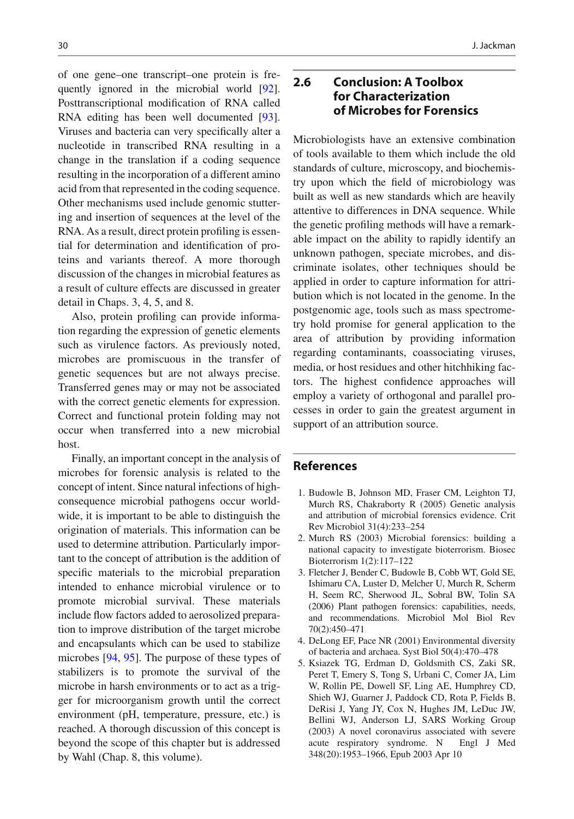<span id="page-17-0"></span>of one gene–one transcript–one protein is frequently ignored in the microbial world  $[92]$ . Posttranscriptional modification of RNA called RNA editing has been well documented [93]. Viruses and bacteria can very specifically alter a nucleotide in transcribed RNA resulting in a change in the translation if a coding sequence resulting in the incorporation of a different amino acid from that represented in the coding sequence. Other mechanisms used include genomic stuttering and insertion of sequences at the level of the RNA. As a result, direct protein profiling is essential for determination and identification of proteins and variants thereof. A more thorough discussion of the changes in microbial features as a result of culture effects are discussed in greater detail in Chaps.  $3, 4, 5$ , and  $8$ .

Also, protein profiling can provide information regarding the expression of genetic elements such as virulence factors. As previously noted, microbes are promiscuous in the transfer of genetic sequences but are not always precise. Transferred genes may or may not be associated with the correct genetic elements for expression. Correct and functional protein folding may not occur when transferred into a new microbial host

 Finally, an important concept in the analysis of microbes for forensic analysis is related to the concept of intent. Since natural infections of highconsequence microbial pathogens occur worldwide, it is important to be able to distinguish the origination of materials. This information can be used to determine attribution. Particularly important to the concept of attribution is the addition of specific materials to the microbial preparation intended to enhance microbial virulence or to promote microbial survival. These materials include flow factors added to aerosolized preparation to improve distribution of the target microbe and encapsulants which can be used to stabilize microbes  $[94, 95]$ . The purpose of these types of stabilizers is to promote the survival of the microbe in harsh environments or to act as a trigger for microorganism growth until the correct environment (pH, temperature, pressure, etc.) is reached. A thorough discussion of this concept is beyond the scope of this chapter but is addressed by Wahl (Chap. 8, this volume).

# **2.6 Conclusion: A Toolbox for Characterization of Microbes for Forensics**

 Microbiologists have an extensive combination of tools available to them which include the old standards of culture, microscopy, and biochemistry upon which the field of microbiology was built as well as new standards which are heavily attentive to differences in DNA sequence. While the genetic profiling methods will have a remarkable impact on the ability to rapidly identify an unknown pathogen, speciate microbes, and discriminate isolates, other techniques should be applied in order to capture information for attribution which is not located in the genome. In the postgenomic age, tools such as mass spectrometry hold promise for general application to the area of attribution by providing information regarding contaminants, coassociating viruses, media, or host residues and other hitchhiking factors. The highest confidence approaches will employ a variety of orthogonal and parallel processes in order to gain the greatest argument in support of an attribution source.

#### **References**

- 1. Budowle B, Johnson MD, Fraser CM, Leighton TJ, Murch RS, Chakraborty R (2005) Genetic analysis and attribution of microbial forensics evidence. Crit Rev Microbiol 31(4):233–254
- 2. Murch RS (2003) Microbial forensics: building a national capacity to investigate bioterrorism. Biosec Bioterrorism 1(2):117–122
- 3. Fletcher J, Bender C, Budowle B, Cobb WT, Gold SE, Ishimaru CA, Luster D, Melcher U, Murch R, Scherm H, Seem RC, Sherwood JL, Sobral BW, Tolin SA (2006) Plant pathogen forensics: capabilities, needs, and recommendations. Microbiol Mol Biol Rev 70(2):450–471
- 4. DeLong EF, Pace NR (2001) Environmental diversity of bacteria and archaea. Syst Biol 50(4):470–478
- 5. Ksiazek TG, Erdman D, Goldsmith CS, Zaki SR, Peret T, Emery S, Tong S, Urbani C, Comer JA, Lim W, Rollin PE, Dowell SF, Ling AE, Humphrey CD, Shieh WJ, Guarner J, Paddock CD, Rota P, Fields B, DeRisi J, Yang JY, Cox N, Hughes JM, LeDuc JW, Bellini WJ, Anderson LJ, SARS Working Group (2003) A novel coronavirus associated with severe acute respiratory syndrome. N Engl J Med 348(20):1953–1966, Epub 2003 Apr 10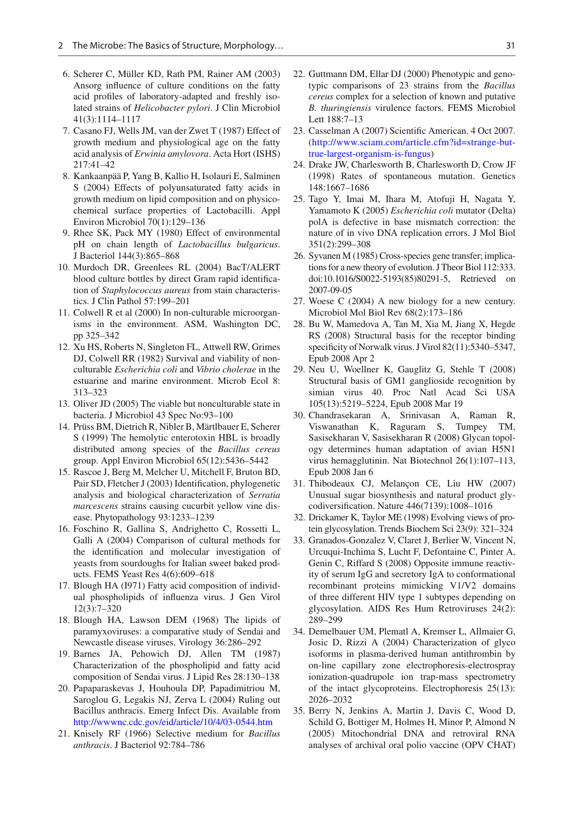- <span id="page-18-0"></span> 6. Scherer C, Müller KD, Rath PM, Rainer AM (2003) Ansorg influence of culture conditions on the fatty acid profiles of laboratory-adapted and freshly isolated strains of *Helicobacter pylori* . J Clin Microbiol 41(3):1114–1117
- 7. Casano FJ, Wells JM, van der Zwet T (1987) Effect of growth medium and physiological age on the fatty acid analysis of *Erwinia amylovora* . Acta Hort (ISHS) 217:41–42
- 8. Kankaanpää P, Yang B, Kallio H, Isolauri E, Salminen S (2004) Effects of polyunsaturated fatty acids in growth medium on lipid composition and on physicochemical surface properties of Lactobacilli. Appl Environ Microbiol 70(1):129–136
- 9. Rhee SK, Pack MY (1980) Effect of environmental pH on chain length of *Lactobacillus bulgaricus* . J Bacteriol 144(3):865–868
- 10. Murdoch DR, Greenlees RL (2004) BacT/ALERT blood culture bottles by direct Gram rapid identification of *Staphylococcus aureus* from stain characteristics. J Clin Pathol 57:199–201
- 11. Colwell R et al (2000) In non-culturable microorganisms in the environment. ASM, Washington DC, pp 325–342
- 12. Xu HS, Roberts N, Singleton FL, Attwell RW, Grimes DJ, Colwell RR (1982) Survival and viability of nonculturable *Escherichia coli* and *Vibrio cholerae* in the estuarine and marine environment. Microb Ecol 8: 313–323
- 13. Oliver JD (2005) The viable but nonculturable state in bacteria. J Microbiol 43 Spec No:93–100
- 14. Prüss BM, Dietrich R, Nibler B, Märtlbauer E, Scherer S (1999) The hemolytic enterotoxin HBL is broadly distributed among species of the *Bacillus cereus* group. Appl Environ Microbiol 65(12):5436–5442
- 15. Rascoe J, Berg M, Melcher U, Mitchell F, Bruton BD, Pair SD, Fletcher J (2003) Identification, phylogenetic analysis and biological characterization of *Serratia marcescens* strains causing cucurbit yellow vine disease. Phytopathology 93:1233–1239
- 16. Foschino R, Gallina S, Andrighetto C, Rossetti L, Galli A (2004) Comparison of cultural methods for the identification and molecular investigation of yeasts from sourdoughs for Italian sweet baked products. FEMS Yeast Res 4(6):609–618
- 17. Blough HA (I971) Fatty acid composition of individual phospholipids of influenza virus. J Gen Virol 12(3):7–320
- 18. Blough HA, Lawson DEM (1968) The lipids of paramyxoviruses: a comparative study of Sendai and Newcastle disease viruses. Virology 36:286–292
- 19. Barnes JA, Pehowich DJ, Allen TM (1987) Characterization of the phospholipid and fatty acid composition of Sendai virus. J Lipid Res 28:130–138
- 20. Papaparaskevas J, Houhoula DP, Papadimitriou M, Saroglou G, Legakis NJ, Zerva L (2004) Ruling out Bacillus anthracis. Emerg Infect Dis. Available from http://wwwnc.cdc.gov/eid/article/10/4/03-0544.htm
- 21. Knisely RF (1966) Selective medium for *Bacillus anthracis* . J Bacteriol 92:784–786
- 22. Guttmann DM, Ellar DJ (2000) Phenotypic and genotypic comparisons of 23 strains from the *Bacillus cereus* complex for a selection of known and putative *B. thuringiensis* virulence factors. FEMS Microbiol Lett 188:7–13
- 23. Casselman A (2007) Scientific American. 4 Oct 2007. ( http://www.sciam.com/article.cfm?id=strange-buttrue-largest-organism-is-fungus )
- 24. Drake JW, Charlesworth B, Charlesworth D, Crow JF (1998) Rates of spontaneous mutation. Genetics 148:1667–1686
- 25. Tago Y, Imai M, Ihara M, Atofuji H, Nagata Y, Yamamoto K (2005) *Escherichia coli* mutator (Delta) polA is defective in base mismatch correction: the nature of in vivo DNA replication errors. J Mol Biol 351(2):299–308
- 26. Syvanen M (1985) Cross-species gene transfer; implications for a new theory of evolution. J Theor Biol 112:333. doi: 10.1016/S0022-5193(85)80291-5 , Retrieved on 2007-09-05
- 27. Woese C (2004) A new biology for a new century. Microbiol Mol Biol Rev 68(2):173–186
- 28. Bu W, Mamedova A, Tan M, Xia M, Jiang X, Hegde RS (2008) Structural basis for the receptor binding specificity of Norwalk virus. J Virol 82(11):5340-5347, Epub 2008 Apr 2
- 29. Neu U, Woellner K, Gauglitz G, Stehle T (2008) Structural basis of GM1 ganglioside recognition by simian virus 40. Proc Natl Acad Sci USA 105(13):5219–5224, Epub 2008 Mar 19
- 30. Chandrasekaran A, Srinivasan A, Raman R, Viswanathan K, Raguram S, Tumpey TM, Sasisekharan V, Sasisekharan R (2008) Glycan topology determines human adaptation of avian H5N1 virus hemagglutinin. Nat Biotechnol 26(1):107–113, Epub 2008 Jan 6
- 31. Thibodeaux CJ, Melançon CE, Liu HW (2007) Unusual sugar biosynthesis and natural product glycodiversification. Nature 446(7139):1008-1016
- 32. Drickamer K, Taylor ME (1998) Evolving views of protein glycosylation. Trends Biochem Sci 23(9): 321–324
- 33. Granados-Gonzalez V, Claret J, Berlier W, Vincent N, Urcuqui-Inchima S, Lucht F, Defontaine C, Pinter A, Genin C, Riffard S (2008) Opposite immune reactivity of serum IgG and secretory IgA to conformational recombinant proteins mimicking V1/V2 domains of three different HIV type 1 subtypes depending on glycosylation. AIDS Res Hum Retroviruses 24(2): 289–299
- 34. Demelbauer UM, Plematl A, Kremser L, Allmaier G, Josic D, Rizzi A (2004) Characterization of glyco isoforms in plasma-derived human antithrombin by on-line capillary zone electrophoresis-electrospray ionization-quadrupole ion trap-mass spectrometry of the intact glycoproteins. Electrophoresis 25(13): 2026–2032
- 35. Berry N, Jenkins A, Martin J, Davis C, Wood D, Schild G, Bottiger M, Holmes H, Minor P, Almond N (2005) Mitochondrial DNA and retroviral RNA analyses of archival oral polio vaccine (OPV CHAT)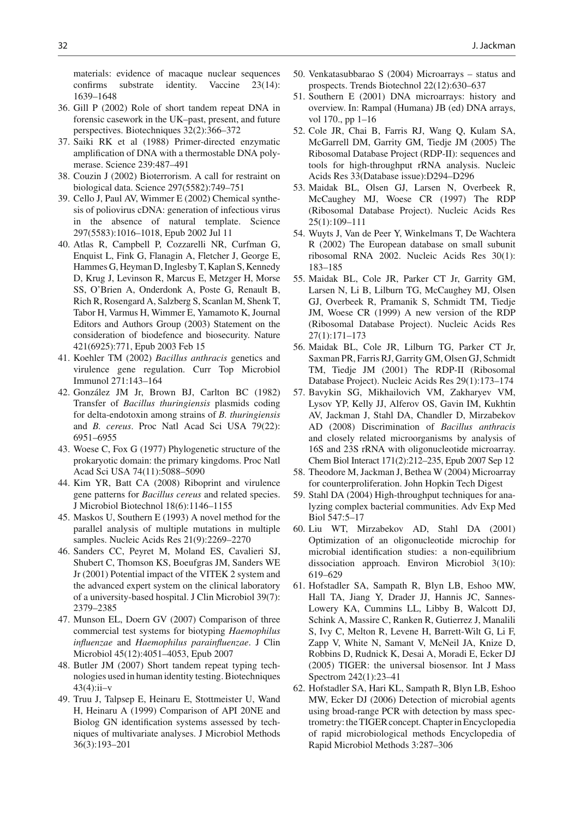<span id="page-19-0"></span>materials: evidence of macaque nuclear sequences confirms substrate identity. Vaccine  $23(14)$ : 1639–1648

- 36. Gill P (2002) Role of short tandem repeat DNA in forensic casework in the UK–past, present, and future perspectives. Biotechniques 32(2):366–372
- 37. Saiki RK et al (1988) Primer-directed enzymatic amplification of DNA with a thermostable DNA polymerase. Science 239:487–491
- 38. Couzin J (2002) Bioterrorism. A call for restraint on biological data. Science 297(5582):749–751
- 39. Cello J, Paul AV, Wimmer E (2002) Chemical synthesis of poliovirus cDNA: generation of infectious virus in the absence of natural template. Science 297(5583):1016–1018, Epub 2002 Jul 11
- 40. Atlas R, Campbell P, Cozzarelli NR, Curfman G, Enquist L, Fink G, Flanagin A, Fletcher J, George E, Hammes G, Heyman D, Inglesby T, Kaplan S, Kennedy D, Krug J, Levinson R, Marcus E, Metzger H, Morse SS, O'Brien A, Onderdonk A, Poste G, Renault B, Rich R, Rosengard A, Salzberg S, Scanlan M, Shenk T, Tabor H, Varmus H, Wimmer E, Yamamoto K, Journal Editors and Authors Group (2003) Statement on the consideration of biodefence and biosecurity. Nature 421(6925):771, Epub 2003 Feb 15
- 41. Koehler TM (2002) *Bacillus anthracis* genetics and virulence gene regulation. Curr Top Microbiol Immunol 271:143–164
- 42. González JM Jr, Brown BJ, Carlton BC (1982) Transfer of *Bacillus thuringiensis* plasmids coding for delta-endotoxin among strains of *B. thuringiensis* and *B. cereus*. Proc Natl Acad Sci USA 79(22): 6951–6955
- 43. Woese C, Fox G (1977) Phylogenetic structure of the prokaryotic domain: the primary kingdoms. Proc Natl Acad Sci USA 74(11):5088–5090
- 44. Kim YR, Batt CA (2008) Riboprint and virulence gene patterns for *Bacillus cereus* and related species. J Microbiol Biotechnol 18(6):1146–1155
- 45. Maskos U, Southern E (1993) A novel method for the parallel analysis of multiple mutations in multiple samples. Nucleic Acids Res 21(9):2269–2270
- 46. Sanders CC, Peyret M, Moland ES, Cavalieri SJ, Shubert C, Thomson KS, Boeufgras JM, Sanders WE Jr (2001) Potential impact of the VITEK 2 system and the advanced expert system on the clinical laboratory of a university-based hospital. J Clin Microbiol 39(7): 2379–2385
- 47. Munson EL, Doern GV (2007) Comparison of three commercial test systems for biotyping *Haemophilus influenzae* and *Haemophilus parainfluenzae*. J Clin Microbiol 45(12):4051–4053, Epub 2007
- 48. Butler JM (2007) Short tandem repeat typing technologies used in human identity testing. Biotechniques  $43(4):ii-v$
- 49. Truu J, Talpsep E, Heinaru E, Stottmeister U, Wand H, Heinaru A (1999) Comparison of API 20NE and Biolog GN identification systems assessed by techniques of multivariate analyses. J Microbiol Methods 36(3):193–201
- 50. Venkatasubbarao S (2004) Microarrays status and prospects. Trends Biotechnol 22(12):630–637
- 51. Southern E (2001) DNA microarrays: history and overview. In: Rampal (Humana) JB (ed) DNA arrays, vol 170., pp 1–16
- 52. Cole JR, Chai B, Farris RJ, Wang Q, Kulam SA, McGarrell DM, Garrity GM, Tiedje JM (2005) The Ribosomal Database Project (RDP-II): sequences and tools for high-throughput rRNA analysis. Nucleic Acids Res 33(Database issue):D294–D296
- 53. Maidak BL, Olsen GJ, Larsen N, Overbeek R, McCaughey MJ, Woese CR (1997) The RDP (Ribosomal Database Project). Nucleic Acids Res 25(1):109–111
- 54. Wuyts J, Van de Peer Y, Winkelmans T, De Wachtera R (2002) The European database on small subunit ribosomal RNA 2002. Nucleic Acids Res 30(1): 183–185
- 55. Maidak BL, Cole JR, Parker CT Jr, Garrity GM, Larsen N, Li B, Lilburn TG, McCaughey MJ, Olsen GJ, Overbeek R, Pramanik S, Schmidt TM, Tiedje JM, Woese CR (1999) A new version of the RDP (Ribosomal Database Project). Nucleic Acids Res 27(1):171–173
- 56. Maidak BL, Cole JR, Lilburn TG, Parker CT Jr, Saxman PR, Farris RJ, Garrity GM, Olsen GJ, Schmidt TM, Tiedje JM (2001) The RDP-II (Ribosomal Database Project). Nucleic Acids Res 29(1):173–174
- 57. Bavykin SG, Mikhailovich VM, Zakharyev VM, Lysov YP, Kelly JJ, Alferov OS, Gavin IM, Kukhtin AV, Jackman J, Stahl DA, Chandler D, Mirzabekov AD (2008) Discrimination of *Bacillus anthracis* and closely related microorganisms by analysis of 16S and 23S rRNA with oligonucleotide microarray. Chem Biol Interact 171(2):212–235, Epub 2007 Sep 12
- 58. Theodore M, Jackman J, Bethea W (2004) Microarray for counterproliferation. John Hopkin Tech Digest
- 59. Stahl DA (2004) High-throughput techniques for analyzing complex bacterial communities. Adv Exp Med Biol 547:5–17
- 60. Liu WT, Mirzabekov AD, Stahl DA (2001) Optimization of an oligonucleotide microchip for microbial identification studies: a non-equilibrium dissociation approach. Environ Microbiol 3(10): 619–629
- 61. Hofstadler SA, Sampath R, Blyn LB, Eshoo MW, Hall TA, Jiang Y, Drader JJ, Hannis JC, Sannes-Lowery KA, Cummins LL, Libby B, Walcott DJ, Schink A, Massire C, Ranken R, Gutierrez J, Manalili S, Ivy C, Melton R, Levene H, Barrett-Wilt G, Li F, Zapp V, White N, Samant V, McNeil JA, Knize D, Robbins D, Rudnick K, Desai A, Moradi E, Ecker DJ (2005) TIGER: the universal biosensor. Int J Mass Spectrom 242(1):23–41
- 62. Hofstadler SA, Hari KL, Sampath R, Blyn LB, Eshoo MW, Ecker DJ (2006) Detection of microbial agents using broad-range PCR with detection by mass spectrometry: the TIGER concept. Chapter in Encyclopedia of rapid microbiological methods Encyclopedia of Rapid Microbiol Methods 3:287–306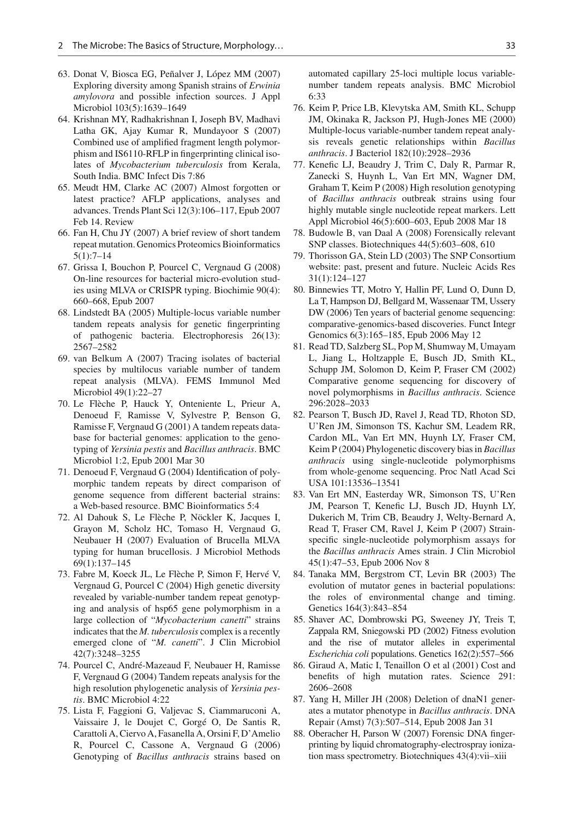- <span id="page-20-0"></span> 63. Donat V, Biosca EG, Peñalver J, López MM (2007) Exploring diversity among Spanish strains of *Erwinia amylovora* and possible infection sources. J Appl Microbiol 103(5):1639–1649
- 64. Krishnan MY, Radhakrishnan I, Joseph BV, Madhavi Latha GK, Ajay Kumar R, Mundayoor S (2007) Combined use of amplified fragment length polymorphism and IS6110-RFLP in fingerprinting clinical isolates of *Mycobacterium tuberculosis* from Kerala, South India. BMC Infect Dis 7:86
- 65. Meudt HM, Clarke AC (2007) Almost forgotten or latest practice? AFLP applications, analyses and advances. Trends Plant Sci 12(3):106–117, Epub 2007 Feb 14. Review
- 66. Fan H, Chu JY (2007) A brief review of short tandem repeat mutation. Genomics Proteomics Bioinformatics 5(1):7–14
- 67. Grissa I, Bouchon P, Pourcel C, Vergnaud G (2008) On-line resources for bacterial micro-evolution studies using MLVA or CRISPR typing. Biochimie 90(4): 660–668, Epub 2007
- 68. Lindstedt BA (2005) Multiple-locus variable number tandem repeats analysis for genetic fingerprinting of pathogenic bacteria. Electrophoresis 26(13): 2567–2582
- 69. van Belkum A (2007) Tracing isolates of bacterial species by multilocus variable number of tandem repeat analysis (MLVA). FEMS Immunol Med Microbiol 49(1):22–27
- 70. Le Flèche P, Hauck Y, Onteniente L, Prieur A, Denoeud F, Ramisse V, Sylvestre P, Benson G, Ramisse F, Vergnaud G (2001) A tandem repeats database for bacterial genomes: application to the genotyping of *Yersinia pestis* and *Bacillus anthracis* . BMC Microbiol 1:2, Epub 2001 Mar 30
- 71. Denoeud F, Vergnaud G (2004) Identification of polymorphic tandem repeats by direct comparison of genome sequence from different bacterial strains: a Web-based resource. BMC Bioinformatics 5:4
- 72. Al Dahouk S, Le Flèche P, Nöckler K, Jacques I, Grayon M, Scholz HC, Tomaso H, Vergnaud G, Neubauer H (2007) Evaluation of Brucella MLVA typing for human brucellosis. J Microbiol Methods 69(1):137–145
- 73. Fabre M, Koeck JL, Le Flèche P, Simon F, Hervé V, Vergnaud G, Pourcel C (2004) High genetic diversity revealed by variable-number tandem repeat genotyping and analysis of hsp65 gene polymorphism in a large collection of "Mycobacterium canetti" strains indicates that the *M. tuberculosis* complex is a recently emerged clone of "M. canetti". J Clin Microbiol 42(7):3248–3255
- 74. Pourcel C, André-Mazeaud F, Neubauer H, Ramisse F, Vergnaud G (2004) Tandem repeats analysis for the high resolution phylogenetic analysis of *Yersinia pestis* . BMC Microbiol 4:22
- 75. Lista F, Faggioni G, Valjevac S, Ciammaruconi A, Vaissaire J, le Doujet C, Gorgé O, De Santis R, Carattoli A, Ciervo A, Fasanella A, Orsini F, D'Amelio R, Pourcel C, Cassone A, Vergnaud G (2006) Genotyping of *Bacillus anthracis* strains based on

automated capillary 25-loci multiple locus variablenumber tandem repeats analysis. BMC Microbiol 6:33

- 76. Keim P, Price LB, Klevytska AM, Smith KL, Schupp JM, Okinaka R, Jackson PJ, Hugh-Jones ME (2000) Multiple-locus variable-number tandem repeat analysis reveals genetic relationships within *Bacillus anthracis* . J Bacteriol 182(10):2928–2936
- 77. Kenefic LJ, Beaudry J, Trim C, Daly R, Parmar R, Zanecki S, Huynh L, Van Ert MN, Wagner DM, Graham T, Keim P (2008) High resolution genotyping of *Bacillus anthracis* outbreak strains using four highly mutable single nucleotide repeat markers. Lett Appl Microbiol 46(5):600–603, Epub 2008 Mar 18
- 78. Budowle B, van Daal A (2008) Forensically relevant SNP classes. Biotechniques 44(5):603–608, 610
- 79. Thorisson GA, Stein LD (2003) The SNP Consortium website: past, present and future. Nucleic Acids Res 31(1):124–127
- 80. Binnewies TT, Motro Y, Hallin PF, Lund O, Dunn D, La T, Hampson DJ, Bellgard M, Wassenaar TM, Ussery DW (2006) Ten years of bacterial genome sequencing: comparative-genomics-based discoveries. Funct Integr Genomics 6(3):165–185, Epub 2006 May 12
- 81. Read TD, Salzberg SL, Pop M, Shumway M, Umayam L, Jiang L, Holtzapple E, Busch JD, Smith KL, Schupp JM, Solomon D, Keim P, Fraser CM (2002) Comparative genome sequencing for discovery of novel polymorphisms in *Bacillus anthracis* . Science 296:2028–2033
- 82. Pearson T, Busch JD, Ravel J, Read TD, Rhoton SD, U'Ren JM, Simonson TS, Kachur SM, Leadem RR, Cardon ML, Van Ert MN, Huynh LY, Fraser CM, Keim P (2004) Phylogenetic discovery bias in *Bacillus anthracis* using single-nucleotide polymorphisms from whole-genome sequencing. Proc Natl Acad Sci USA 101:13536–13541
- 83. Van Ert MN, Easterday WR, Simonson TS, U'Ren JM, Pearson T, Kenefic LJ, Busch JD, Huynh LY, Dukerich M, Trim CB, Beaudry J, Welty-Bernard A, Read T, Fraser CM, Ravel J, Keim P (2007) Strainspecific single-nucleotide polymorphism assays for the *Bacillus anthracis* Ames strain. J Clin Microbiol 45(1):47–53, Epub 2006 Nov 8
- 84. Tanaka MM, Bergstrom CT, Levin BR (2003) The evolution of mutator genes in bacterial populations: the roles of environmental change and timing. Genetics 164(3):843–854
- 85. Shaver AC, Dombrowski PG, Sweeney JY, Treis T, Zappala RM, Sniegowski PD (2002) Fitness evolution and the rise of mutator alleles in experimental *Escherichia coli* populations. Genetics 162(2):557–566
- 86. Giraud A, Matic I, Tenaillon O et al (2001) Cost and benefits of high mutation rates. Science 291: 2606–2608
- 87. Yang H, Miller JH (2008) Deletion of dnaN1 generates a mutator phenotype in *Bacillus anthracis* . DNA Repair (Amst) 7(3):507–514, Epub 2008 Jan 31
- 88. Oberacher H, Parson W (2007) Forensic DNA fingerprinting by liquid chromatography-electrospray ionization mass spectrometry. Biotechniques 43(4):vii–xiii